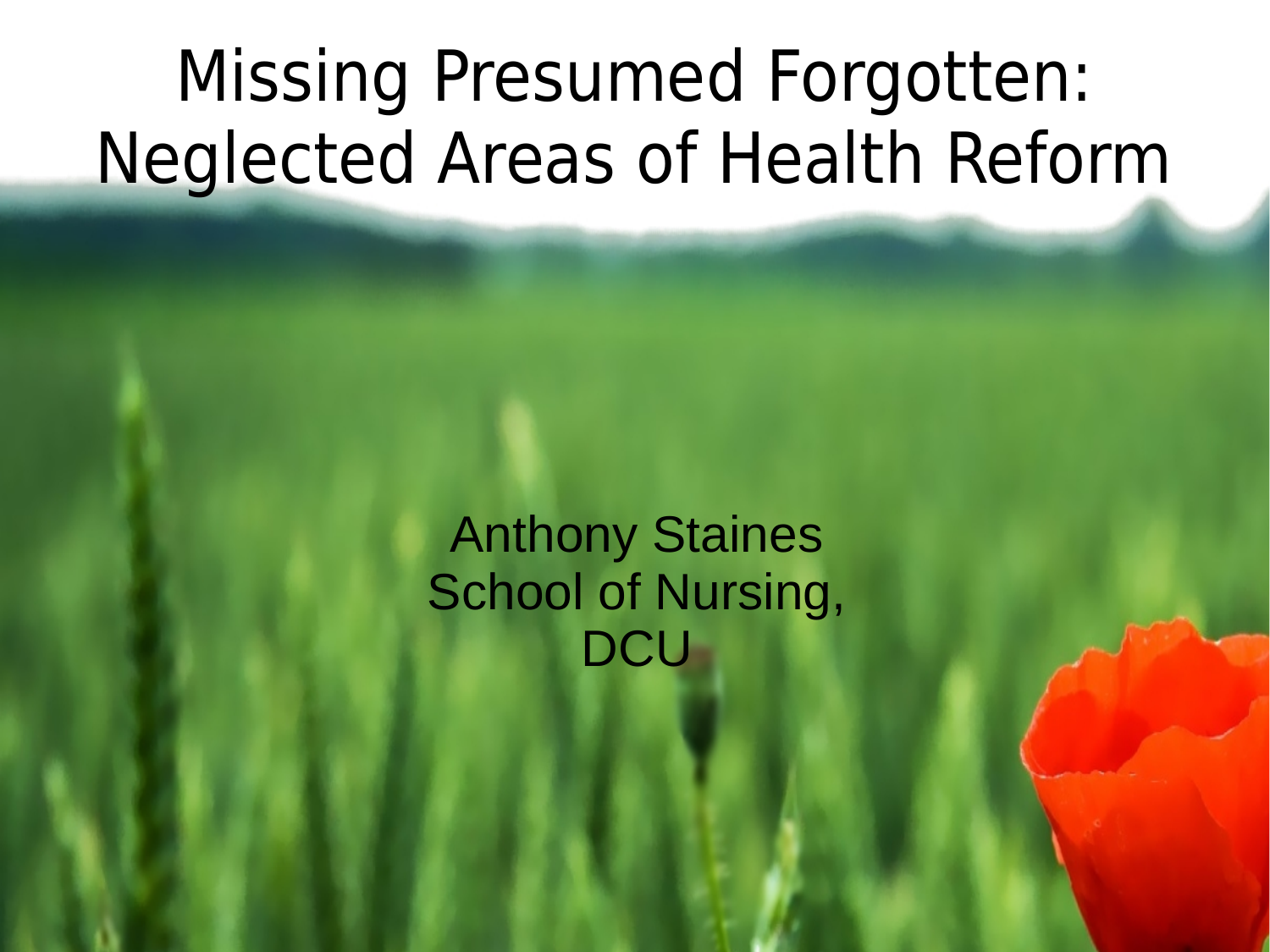## Missing Presumed Forgotten: Neglected Areas of Health Reform

Anthony Staines School of Nursing, **DCU**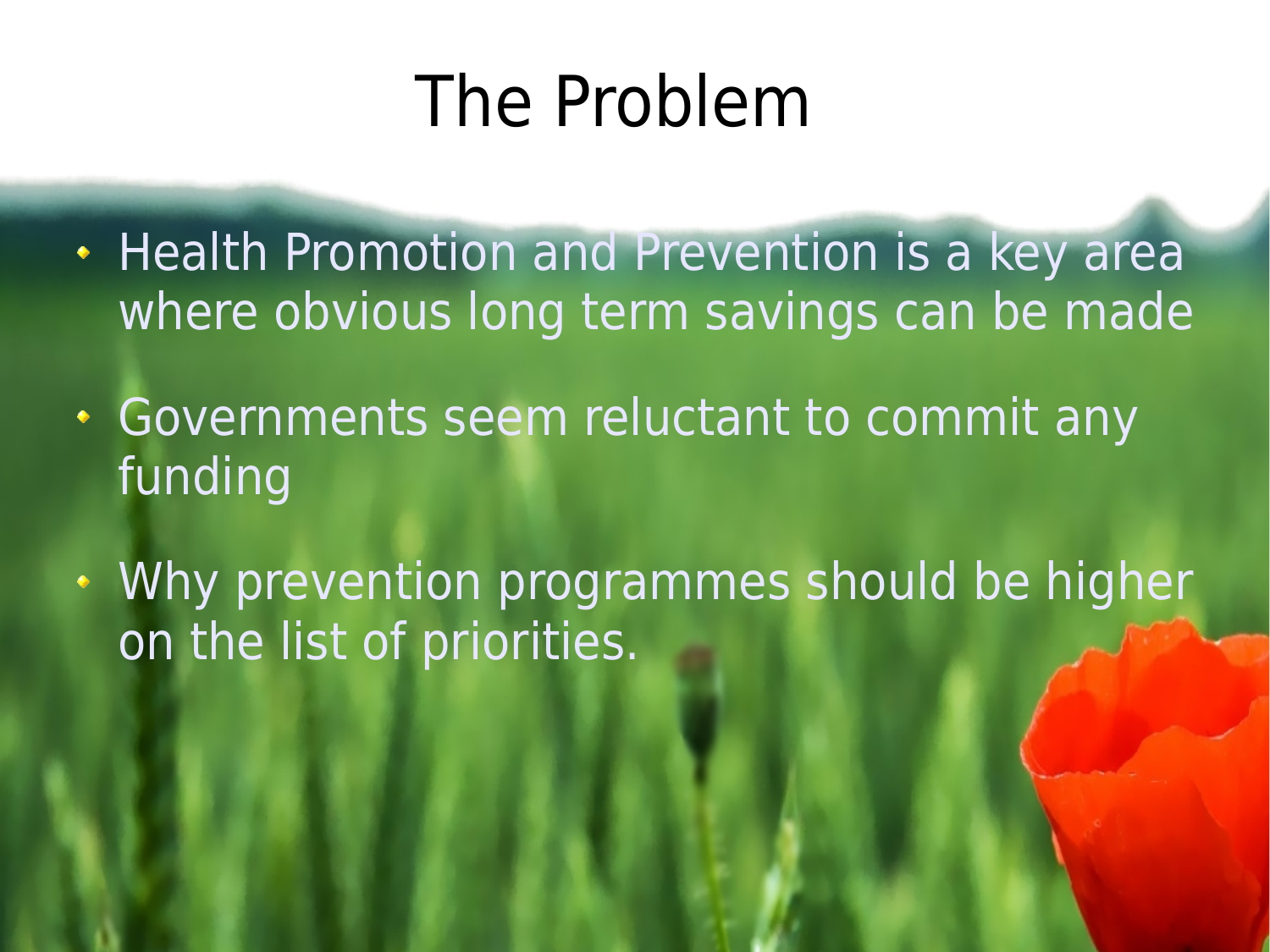## The Problem

- Health Promotion and Prevention is a key area where obvious long term savings can be made
- Governments seem reluctant to commit any funding
- Why prevention programmes should be higher on the list of priorities.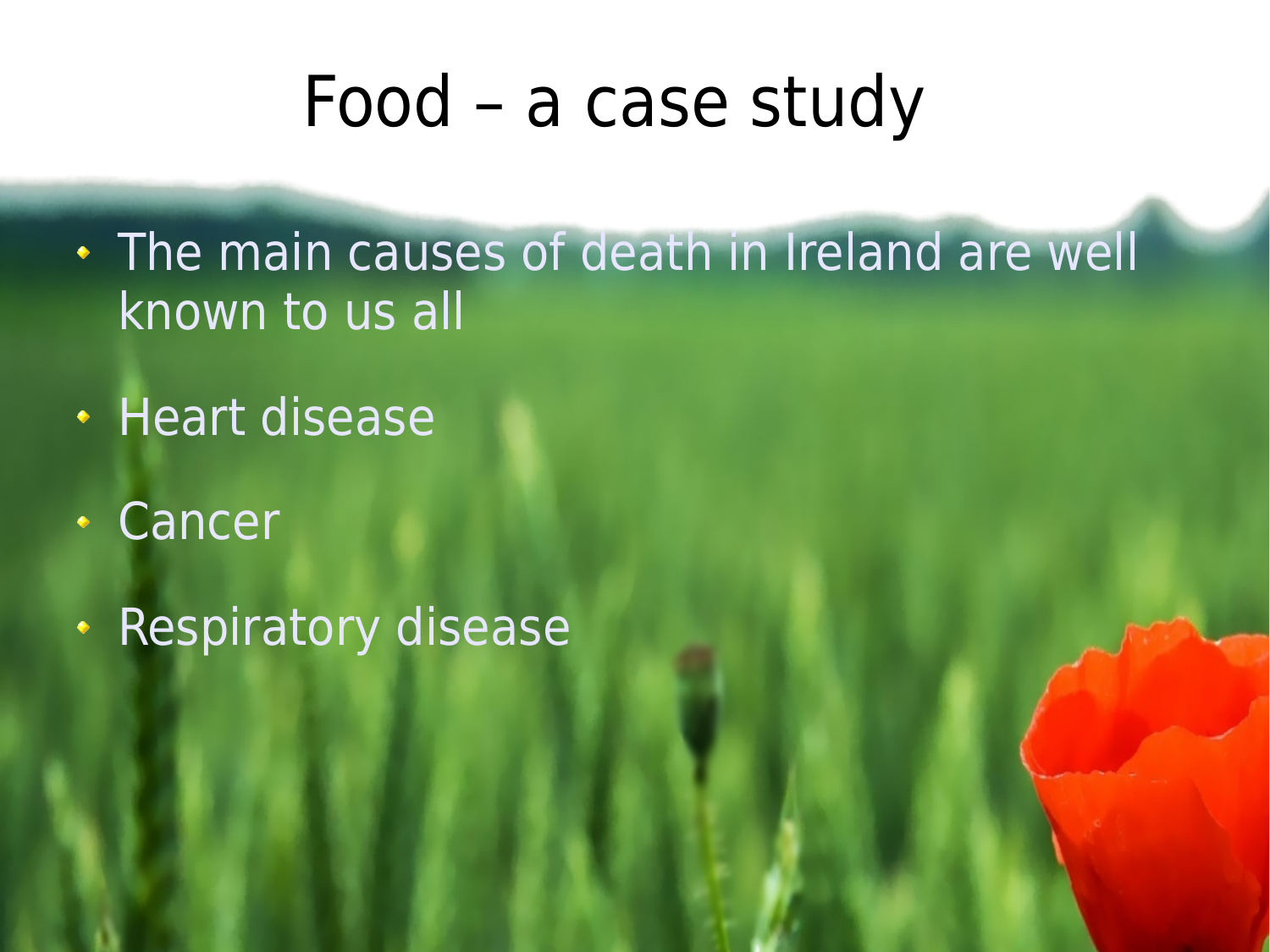#### Food – a case study

- . The main causes of death in Ireland are well known to us all
- **Heart disease**
- Cancer
- **Respiratory disease**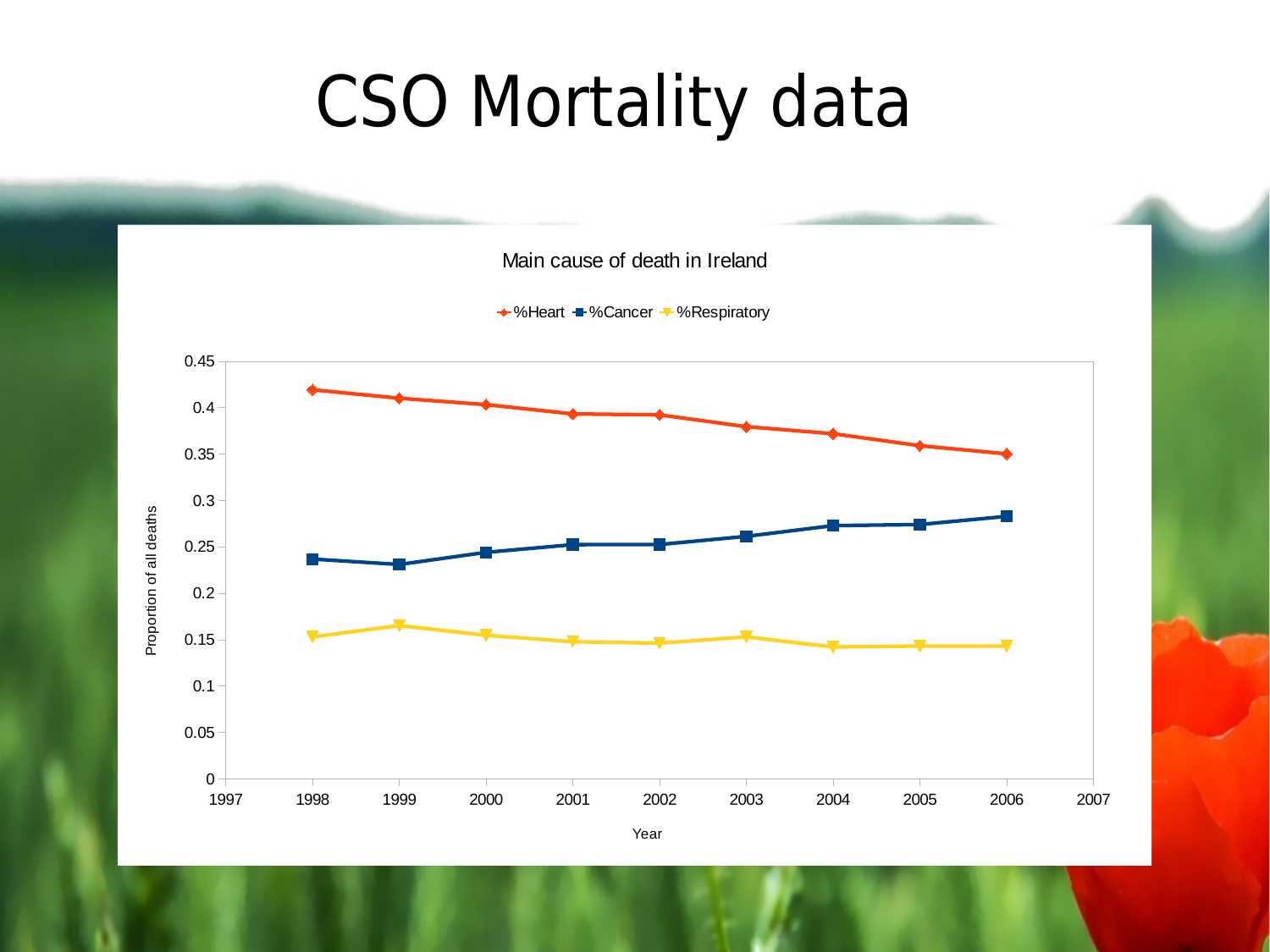#### CSO Mortality data

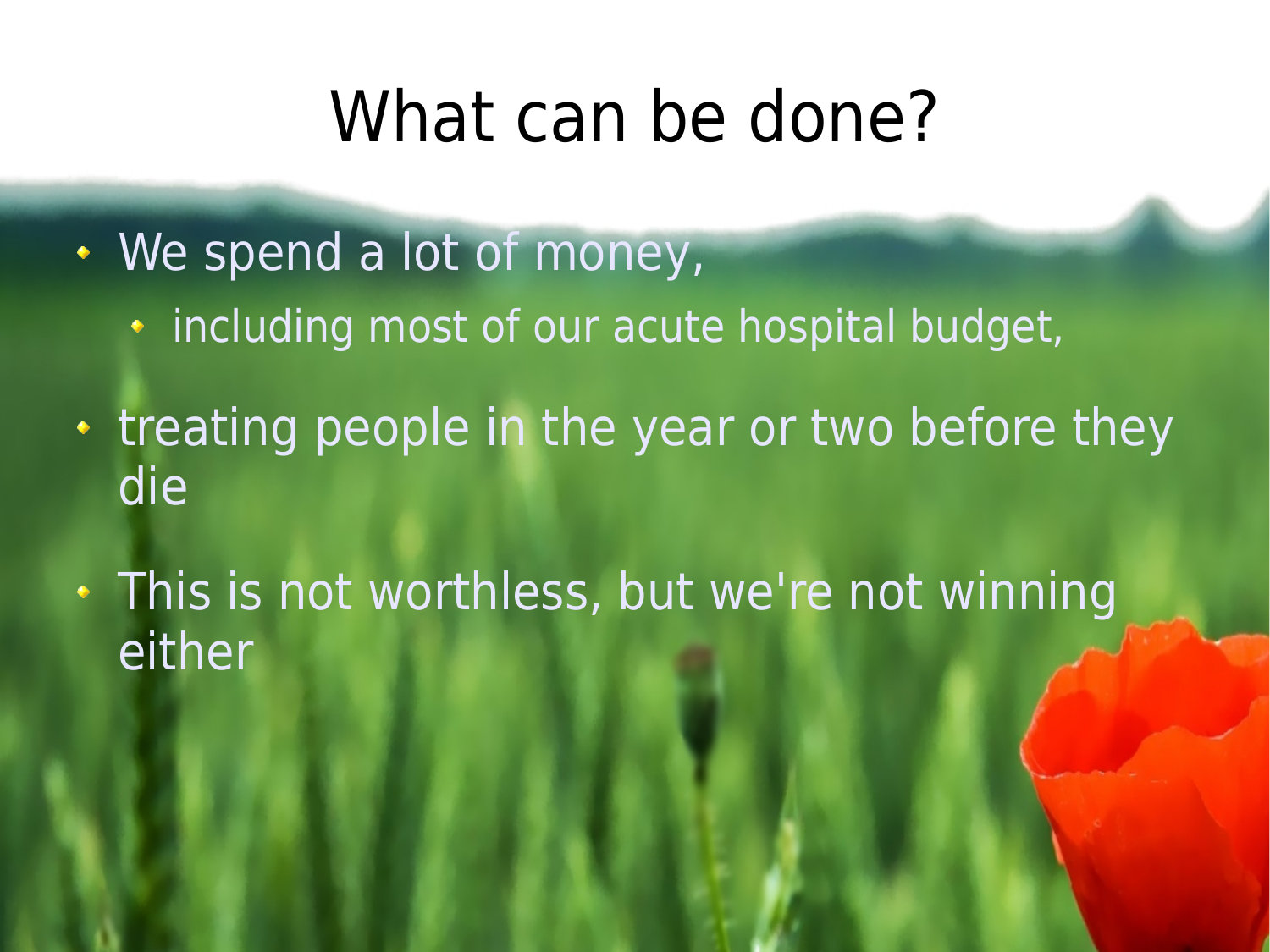#### What can be done?

- We spend a lot of money,
	- including most of our acute hospital budget,
- treating people in the year or two before they die
- This is not worthless, but we're not winning either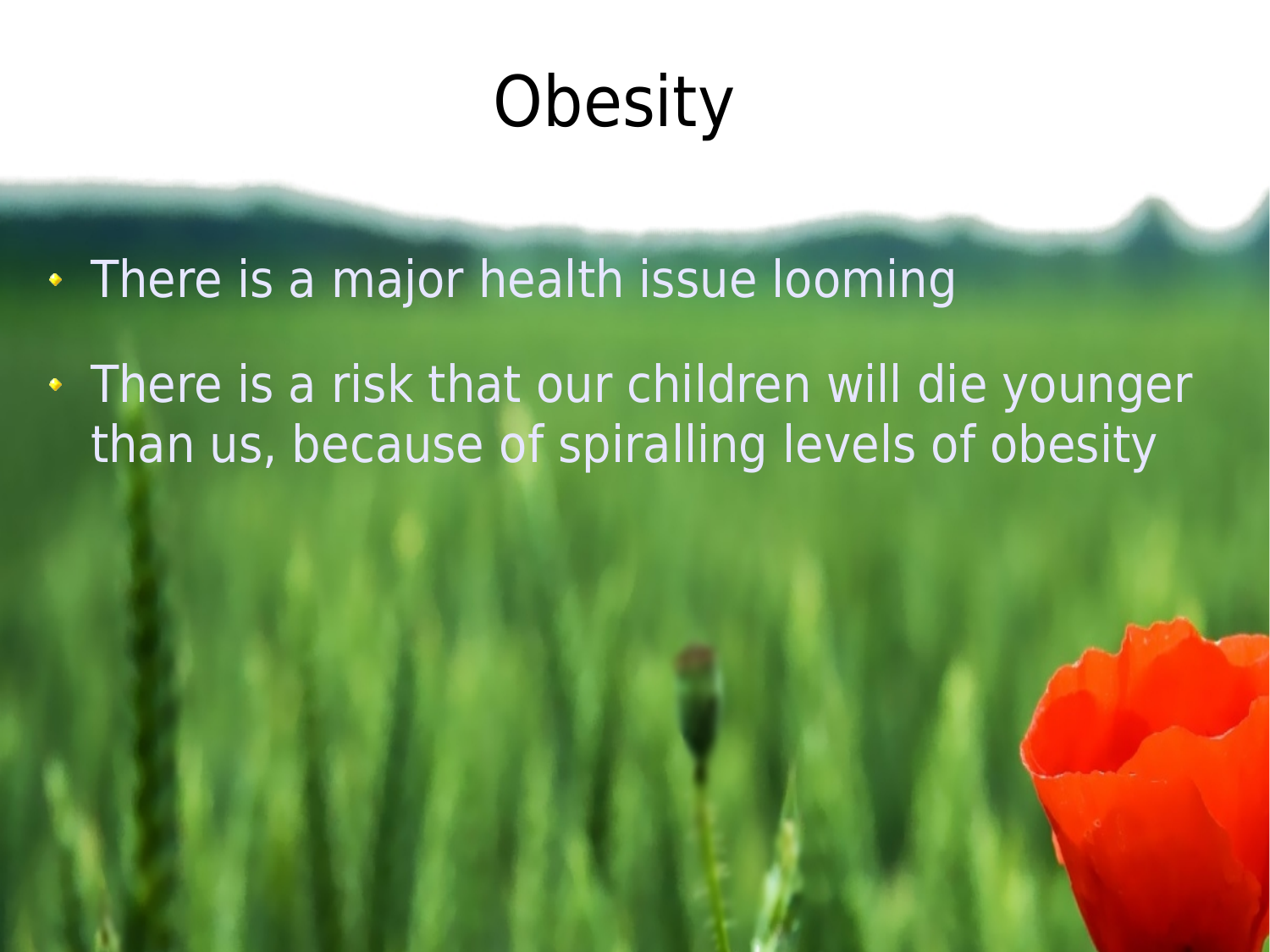# **Obesity**

- There is a major health issue looming
- . There is a risk that our children will die younger than us, because of spiralling levels of obesity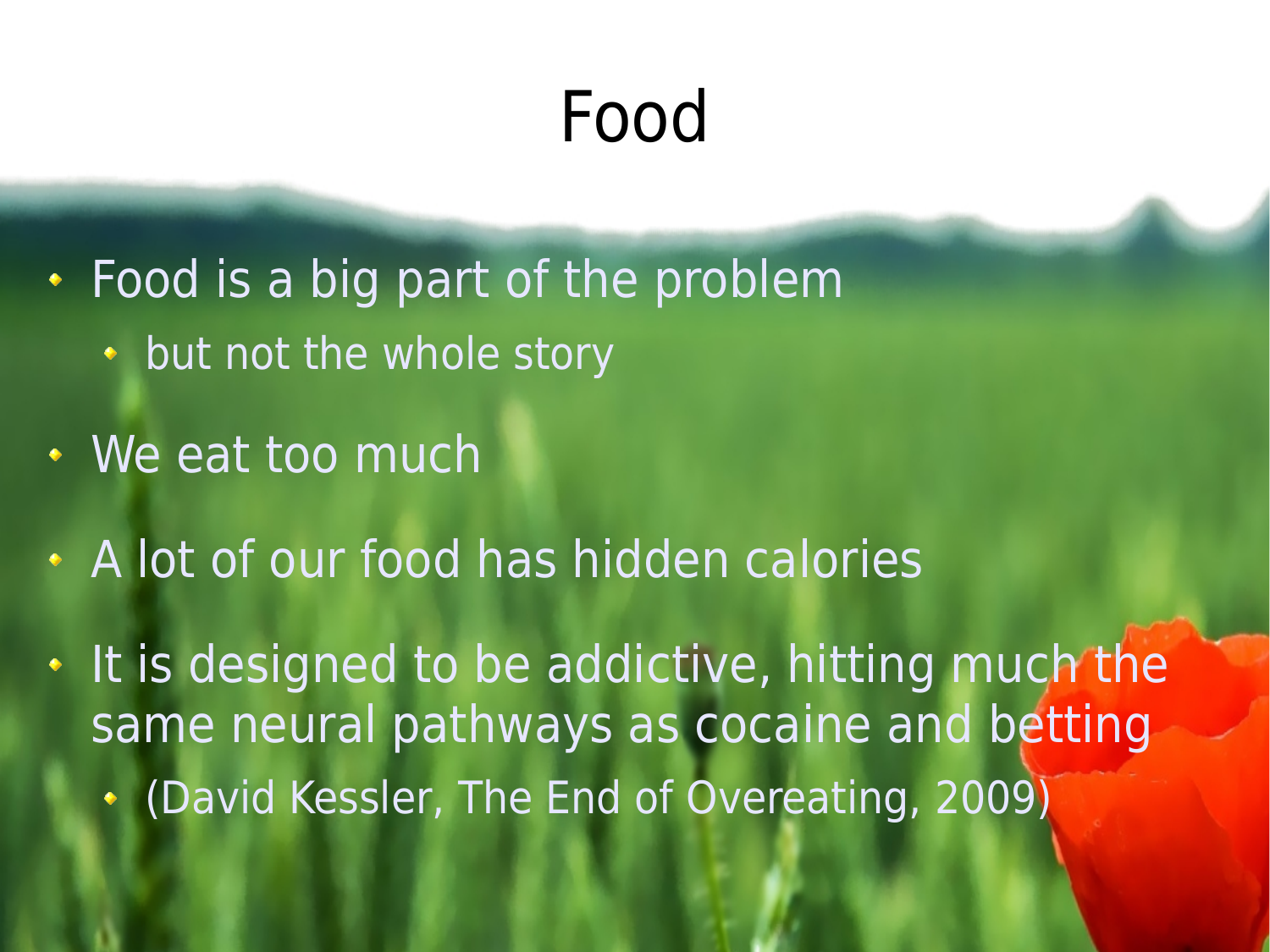## Food

Food is a big part of the problem

- but not the whole story
- **We eat too much**
- A lot of our food has hidden calories

It is designed to be addictive, hitting much the same neural pathways as cocaine and betting (David Kessler, The End of Overeating, 2009)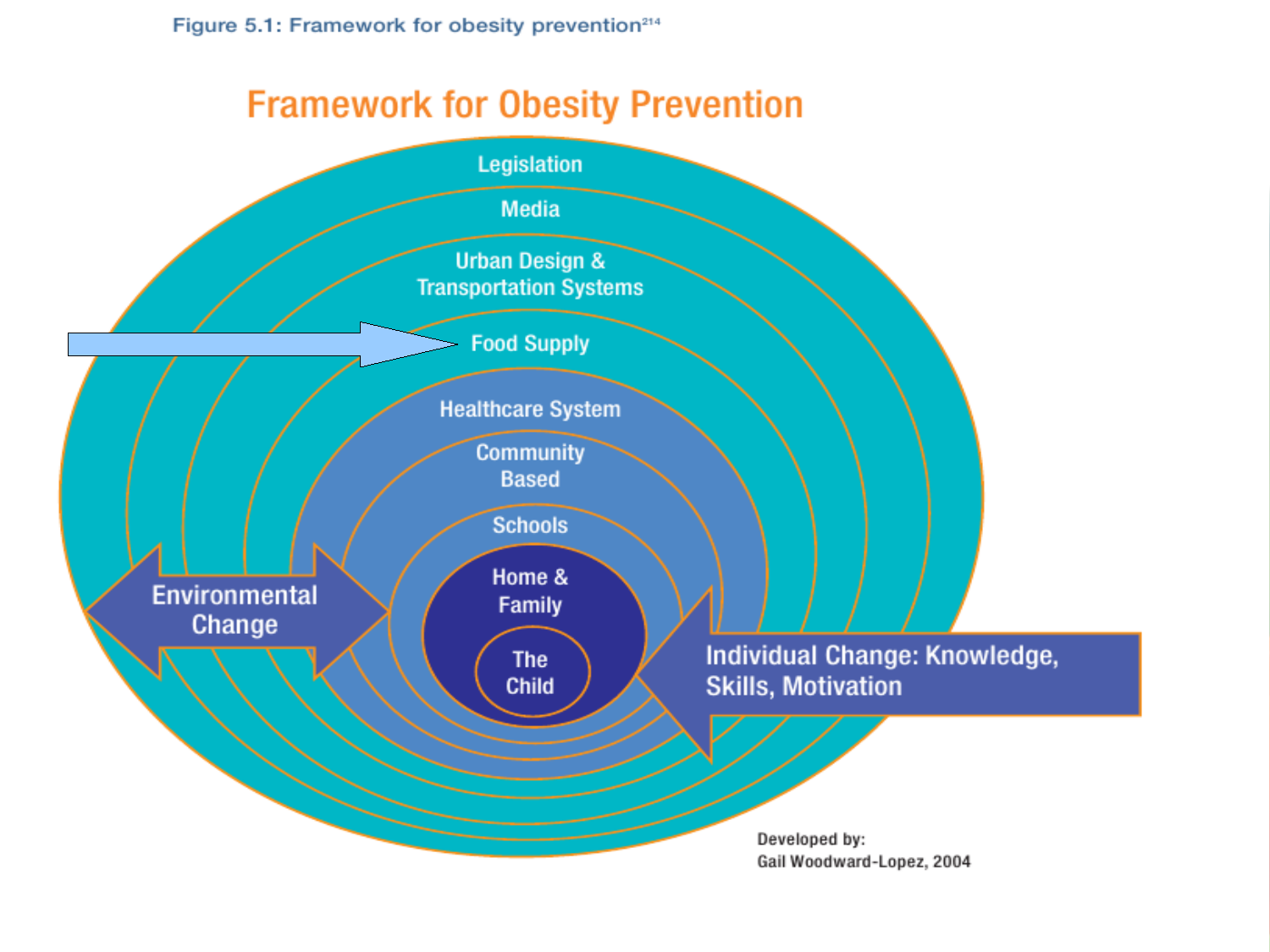Figure 5.1: Framework for obesity prevention<sup>214</sup>



Gail Woodward-Lopez, 2004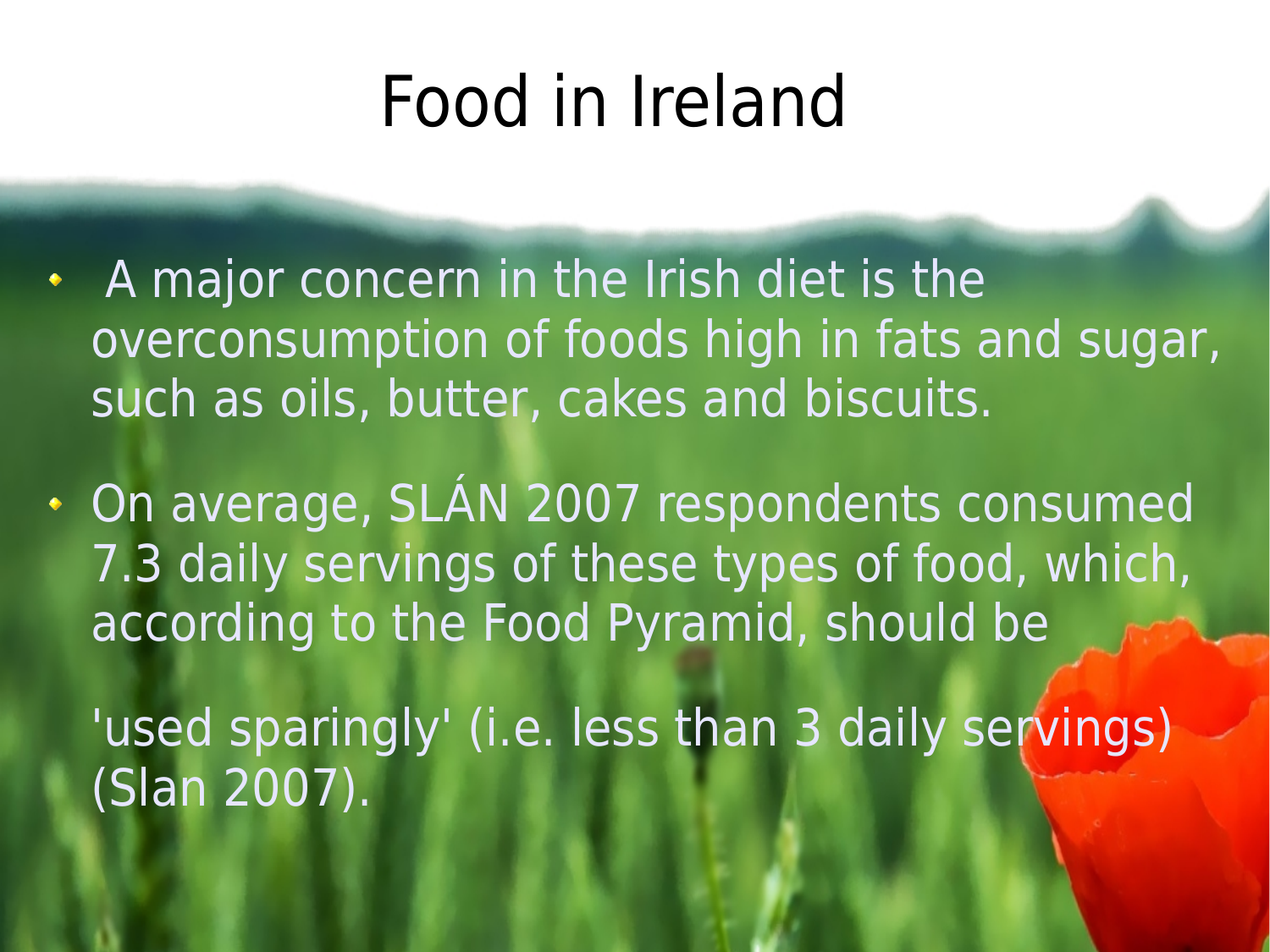## Food in Ireland

A major concern in the Irish diet is the overconsumption of foods high in fats and sugar, such as oils, butter, cakes and biscuits.

On average, SLÁN 2007 respondents consumed 7.3 daily servings of these types of food, which, according to the Food Pyramid, should be

'used sparingly' (i.e. less than 3 daily servings) (Slan 2007).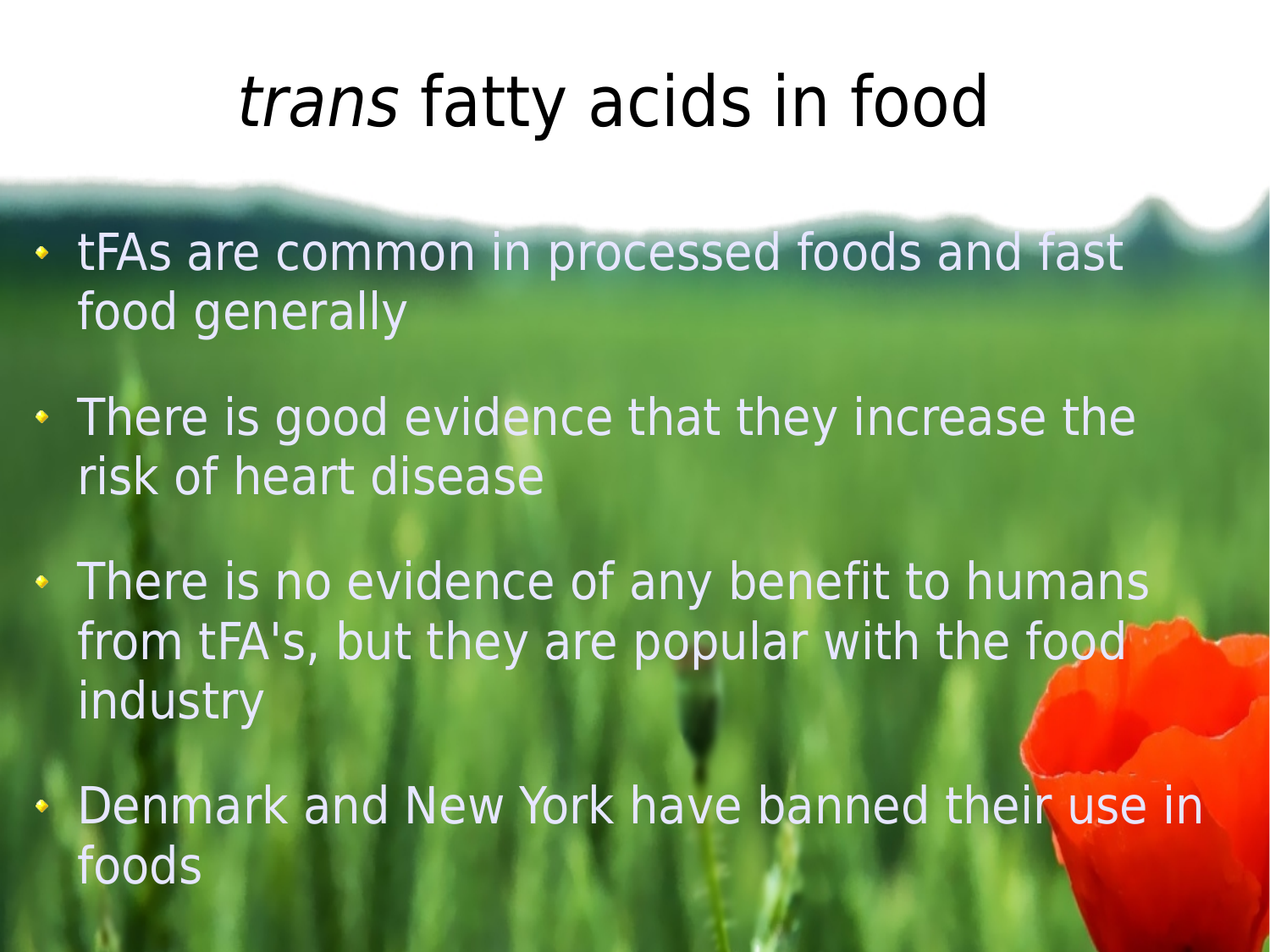### trans fatty acids in food

- tFAs are common in processed foods and fast food generally
- There is good evidence that they increase the risk of heart disease
- There is no evidence of any benefit to humans from tFA's, but they are popular with the food industry
- Denmark and New York have banned their use in foods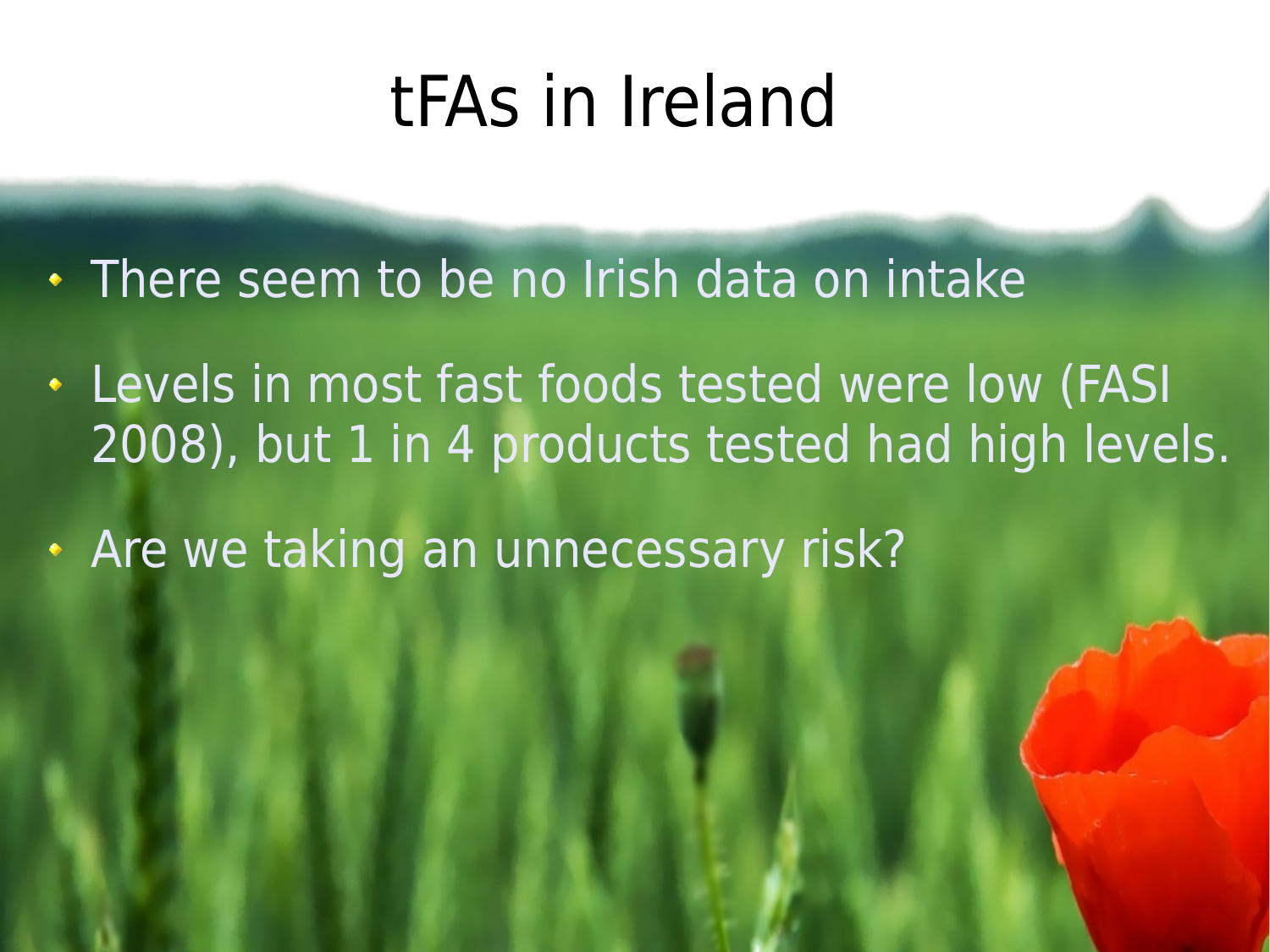#### tFAs in Ireland

- There seem to be no Irish data on intake
- Levels in most fast foods tested were low (FASI 2008), but 1 in 4 products tested had high levels.
- Are we taking an unnecessary risk?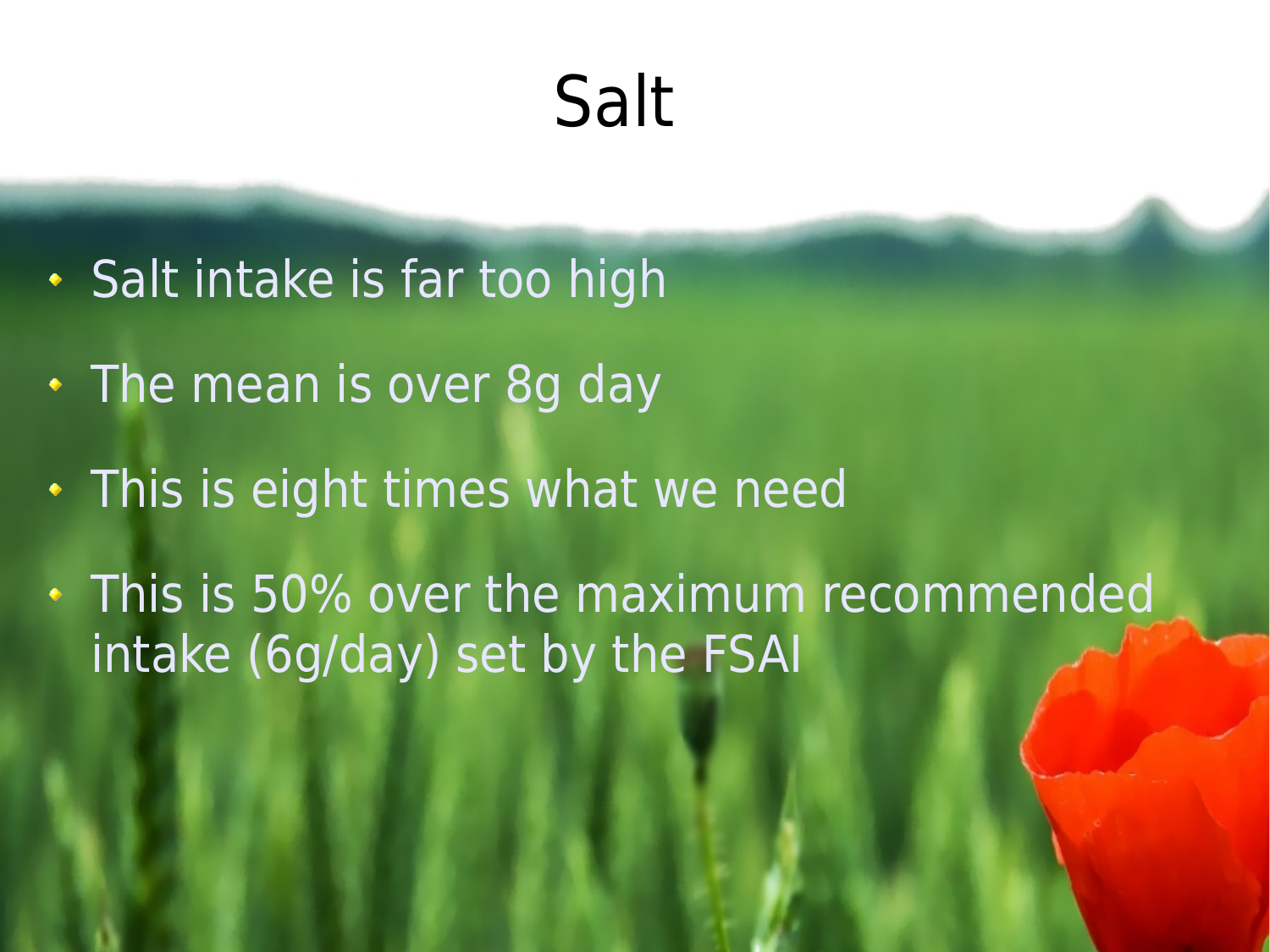# Salt

- Salt intake is far too high
- The mean is over 8g day
- This is eight times what we need
- This is 50% over the maximum recommended intake (6g/day) set by the FSAI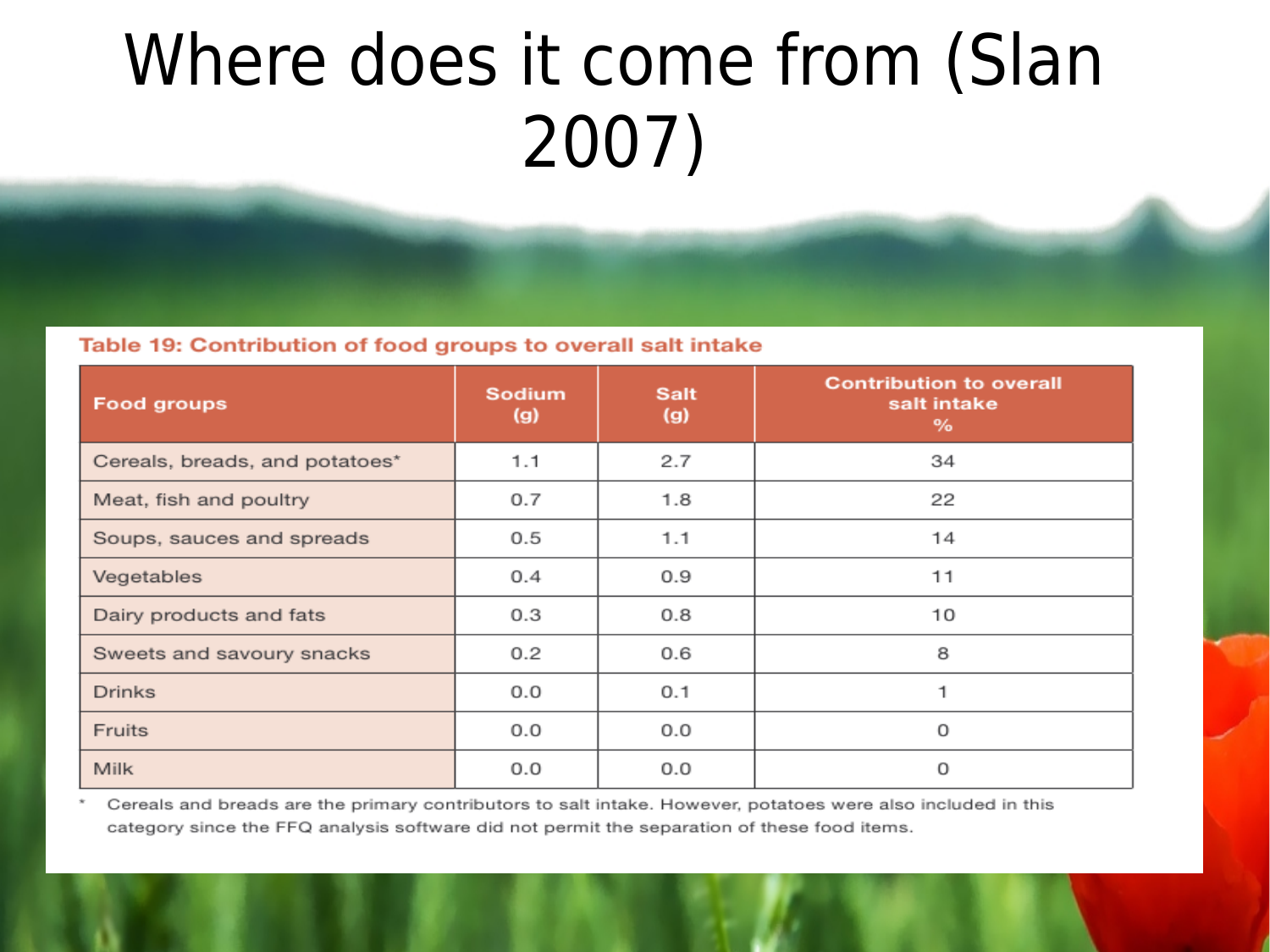## Where does it come from (Slan 2007)

Table 19: Contribution of food groups to overall salt intake

| <b>Food groups</b>             | <b>Sodium</b><br>(g) | <b>Salt</b><br>(g) | <b>Contribution to overall</b><br>salt intake<br>% |  |
|--------------------------------|----------------------|--------------------|----------------------------------------------------|--|
| Cereals, breads, and potatoes* | 1.1                  | 2.7                | 34                                                 |  |
| Meat, fish and poultry         | 0.7                  | 1.8                | 22                                                 |  |
| Soups, sauces and spreads      | 0.5                  | 1.1                | 14                                                 |  |
| Vegetables                     | 0.4                  | 0.9                | 11                                                 |  |
| Dairy products and fats        | 0.3                  | 0.8                | 10                                                 |  |
| Sweets and savoury snacks      | 0.2                  | 0.6                | 8                                                  |  |
| <b>Drinks</b>                  | 0.0                  | 0.1                | 1                                                  |  |
| <b>Fruits</b>                  | 0.0                  | 0.0                | 0                                                  |  |
| <b>Milk</b>                    | 0.0                  | 0.0                | Ω                                                  |  |

Cereals and breads are the primary contributors to salt intake. However, potatoes were also included in this category since the FFQ analysis software did not permit the separation of these food items.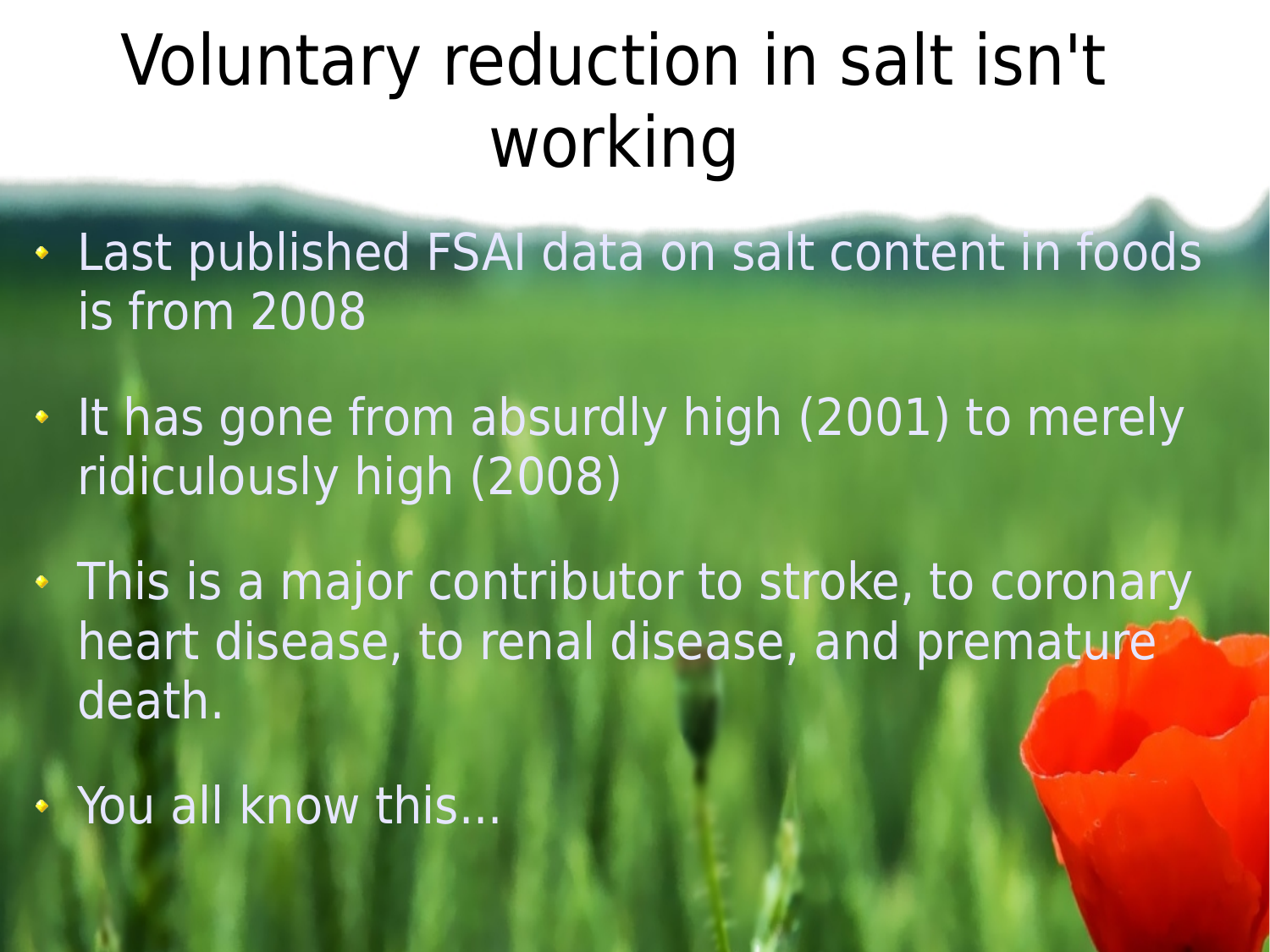# Voluntary reduction in salt isn't working

- Last published FSAI data on salt content in foods is from 2008
- It has gone from absurdly high (2001) to merely ridiculously high (2008)
- This is a major contributor to stroke, to coronary heart disease, to renal disease, and premature death.
- . You all know this...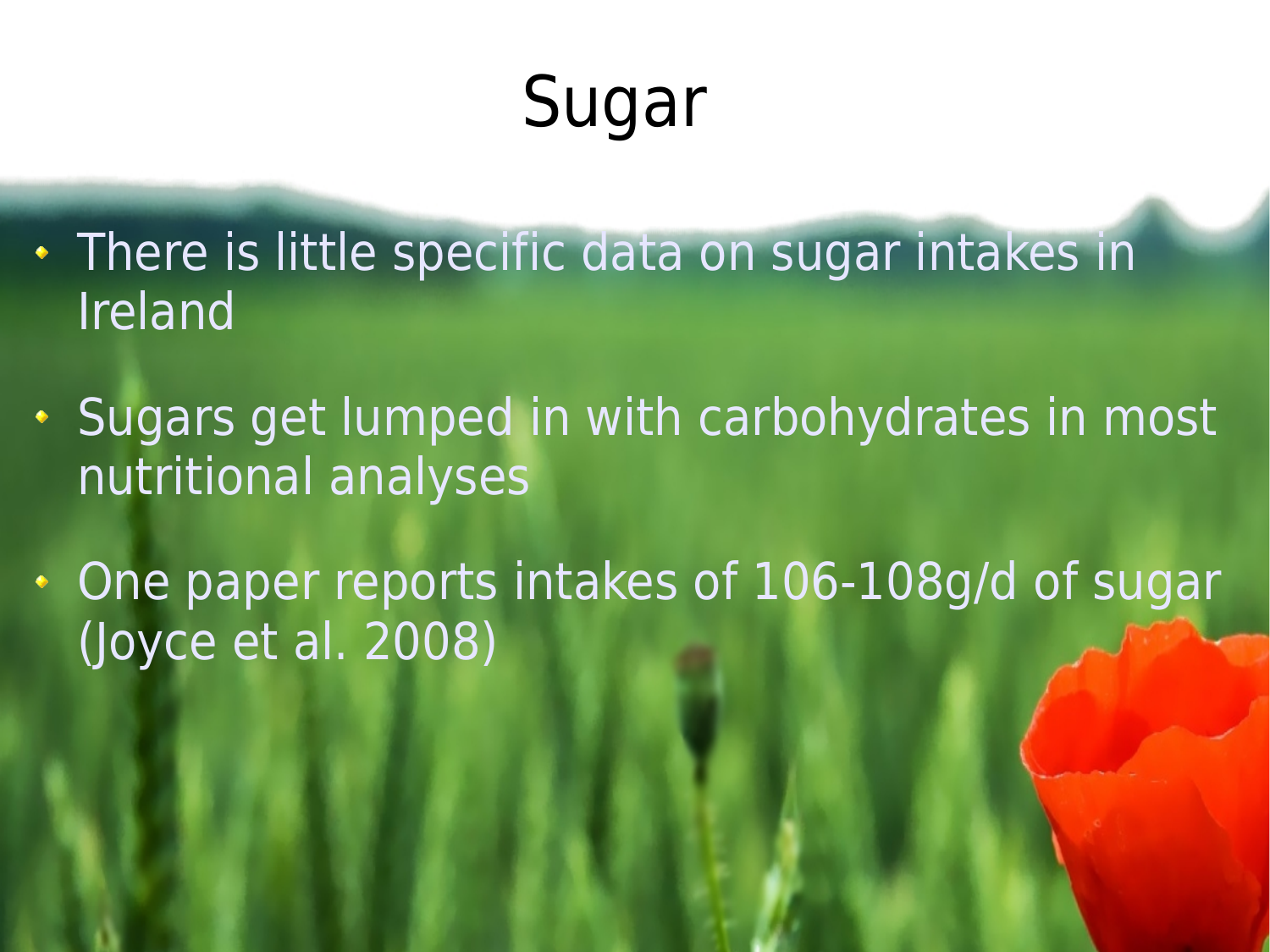# Sugar

- There is little specific data on sugar intakes in Ireland
- Sugars get lumped in with carbohydrates in most nutritional analyses
- One paper reports intakes of 106-108g/d of sugar (Joyce et al. 2008)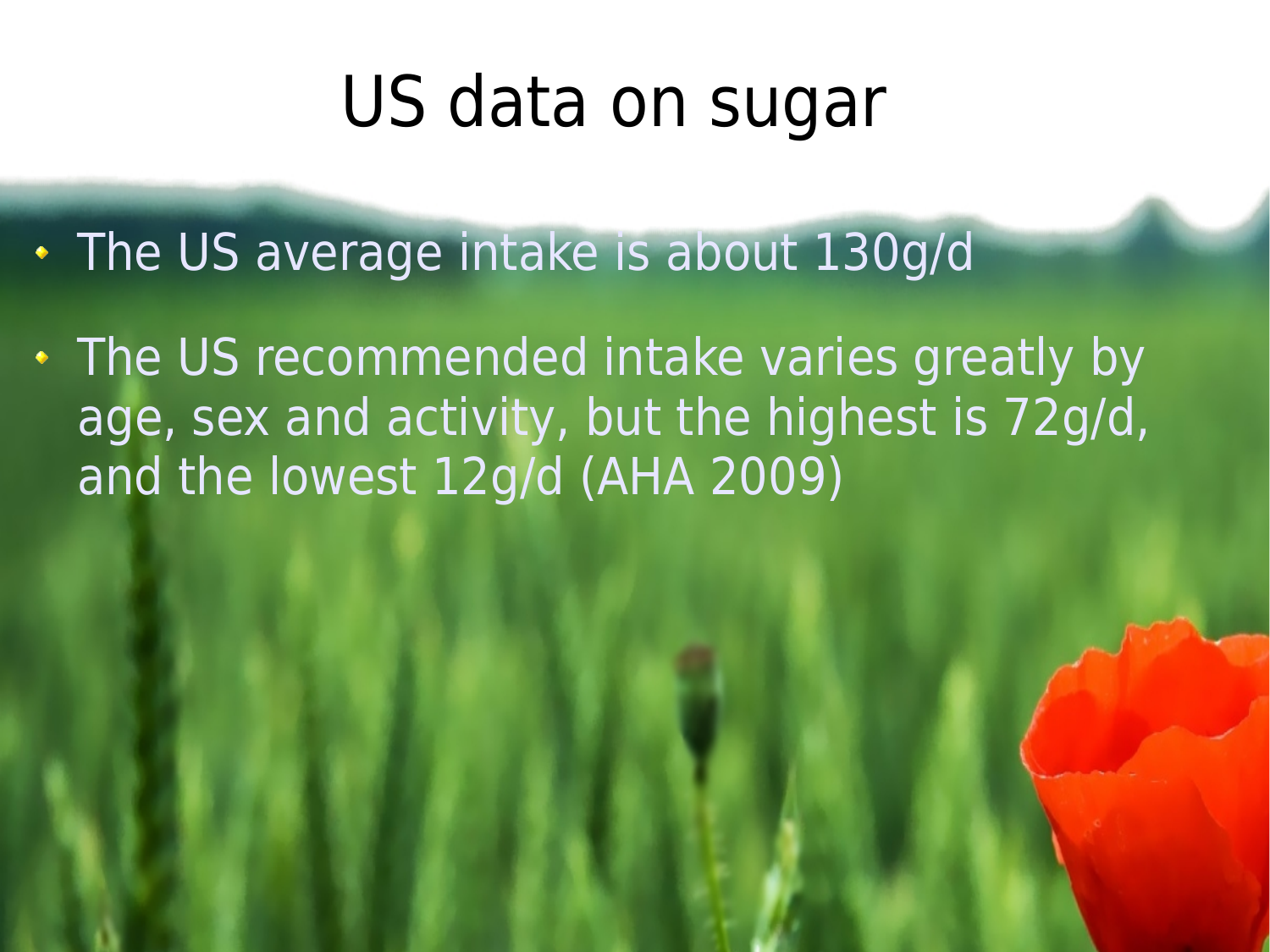#### US data on sugar

- The US average intake is about 130g/d
- The US recommended intake varies greatly by age, sex and activity, but the highest is 72g/d, and the lowest 12g/d (AHA 2009)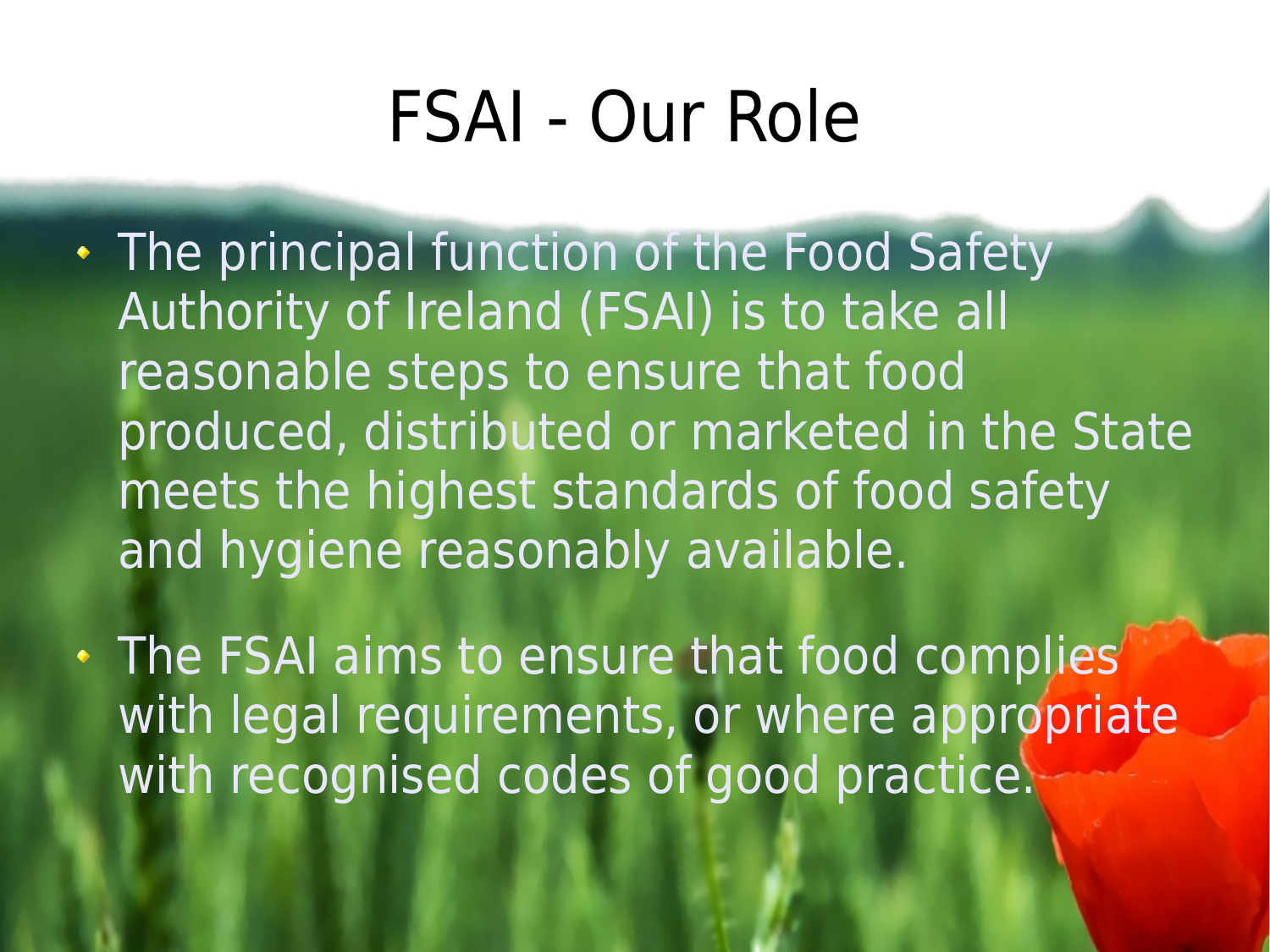## FSAI - Our Role

- The principal function of the Food Safety Authority of Ireland (FSAI) is to take all reasonable steps to ensure that food produced, distributed or marketed in the State meets the highest standards of food safety and hygiene reasonably available.
- . The FSAI aims to ensure that food complies with legal requirements, or where appropriate with recognised codes of good practice.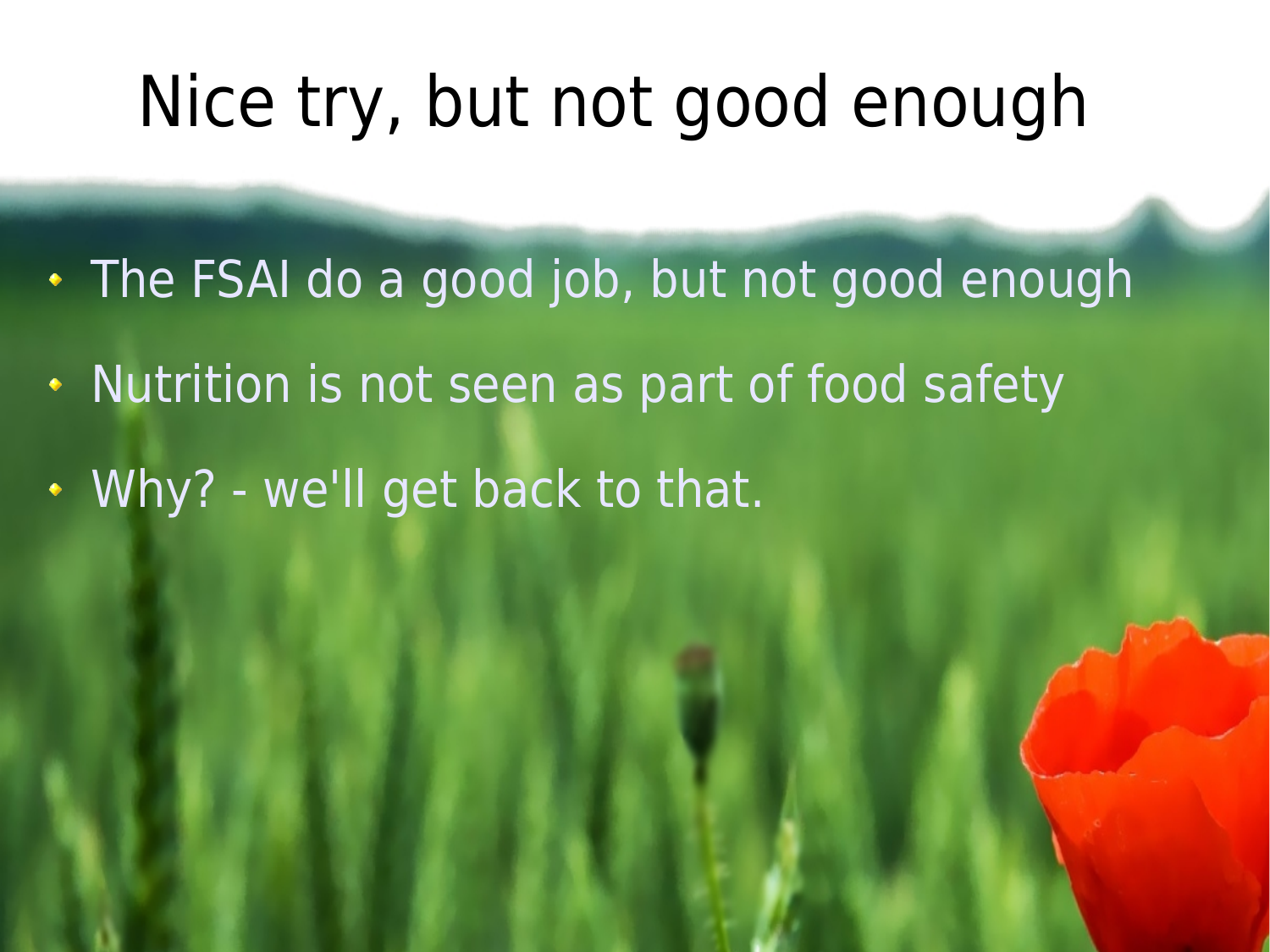#### Nice try, but not good enough

- The FSAI do a good job, but not good enough
- . Nutrition is not seen as part of food safety
- Why? we'll get back to that.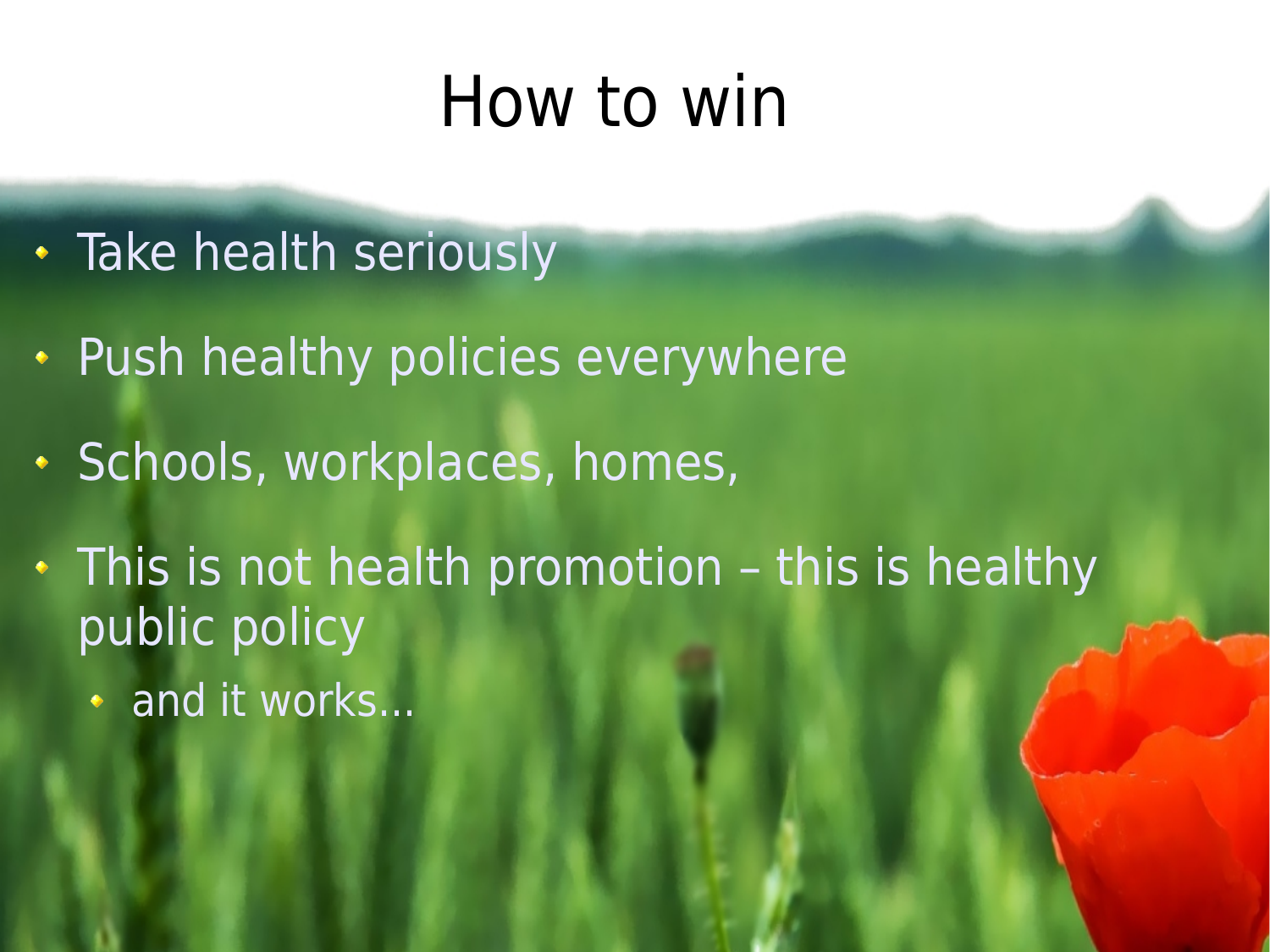#### How to win

- Take health seriously
- Push healthy policies everywhere
- Schools, workplaces, homes,
- This is not health promotion this is healthy public policy
	- **and it works...**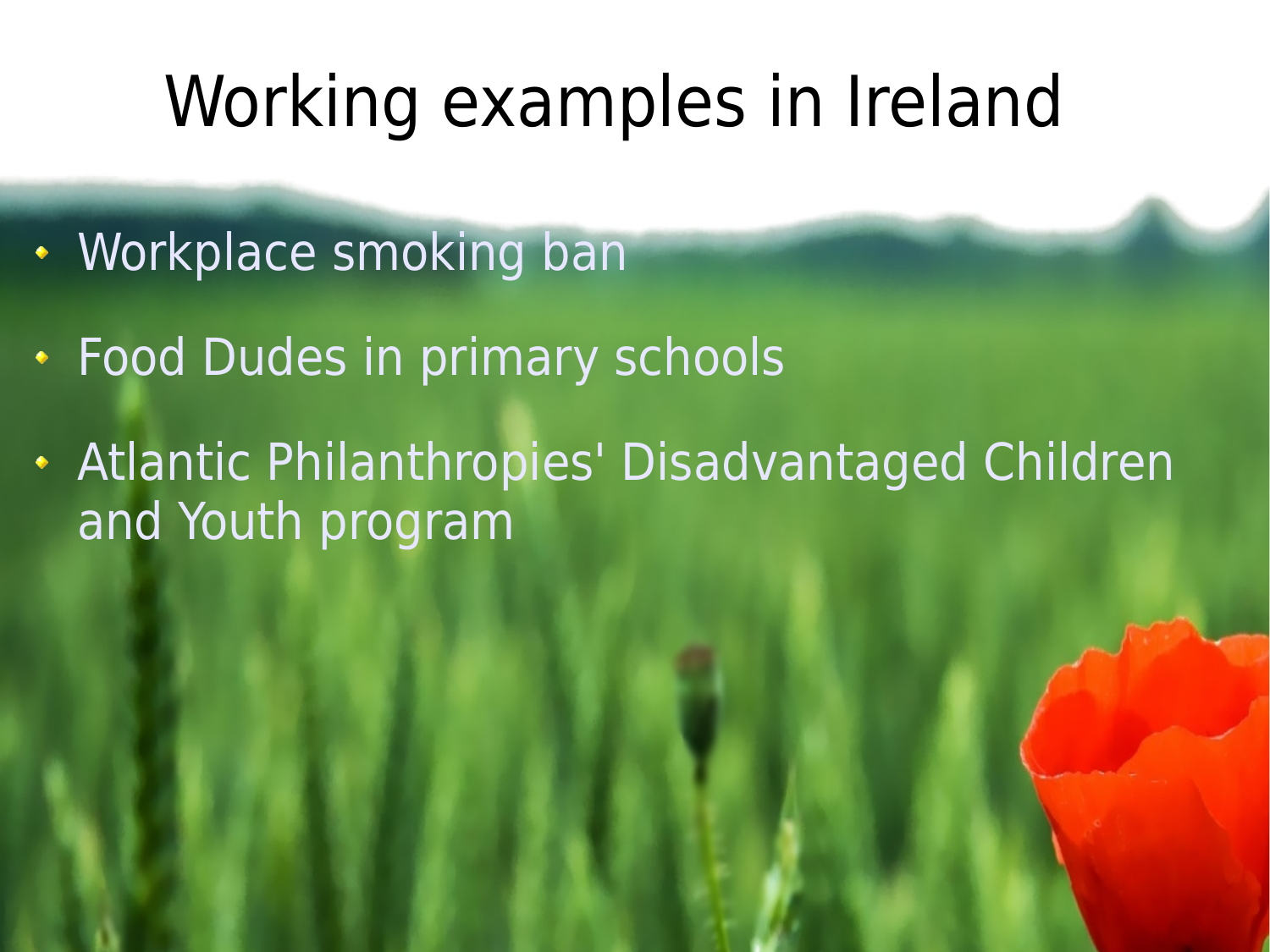### Working examples in Ireland

- Workplace smoking ban
- Food Dudes in primary schools
- Atlantic Philanthropies' Disadvantaged Children and Youth program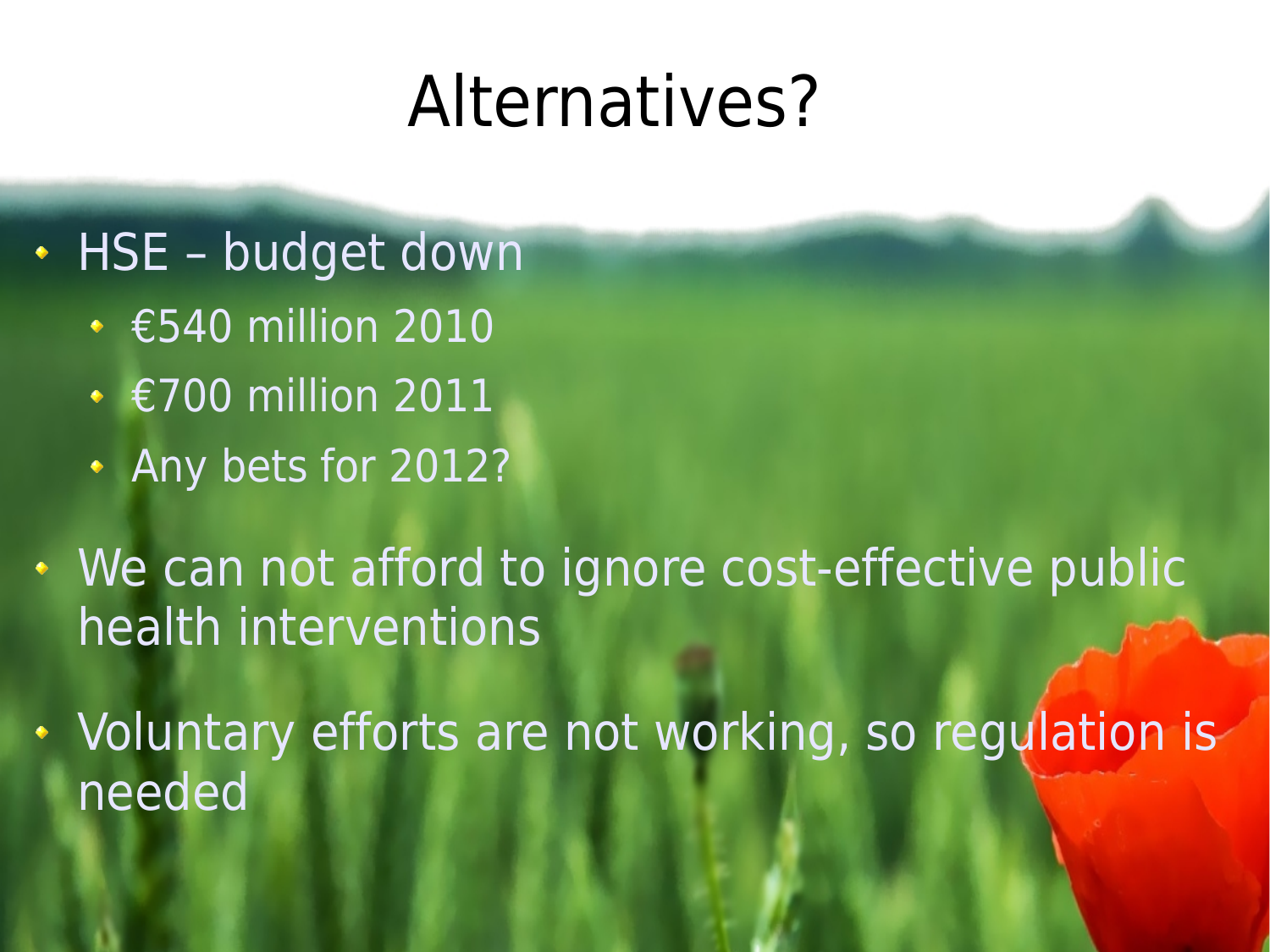#### Alternatives?

- HSE budget down
	- €540 million 2010
	- €700 million 2011
	- Any bets for 2012?
- . We can not afford to ignore cost-effective public health interventions
- Voluntary efforts are not working, so regulation is needed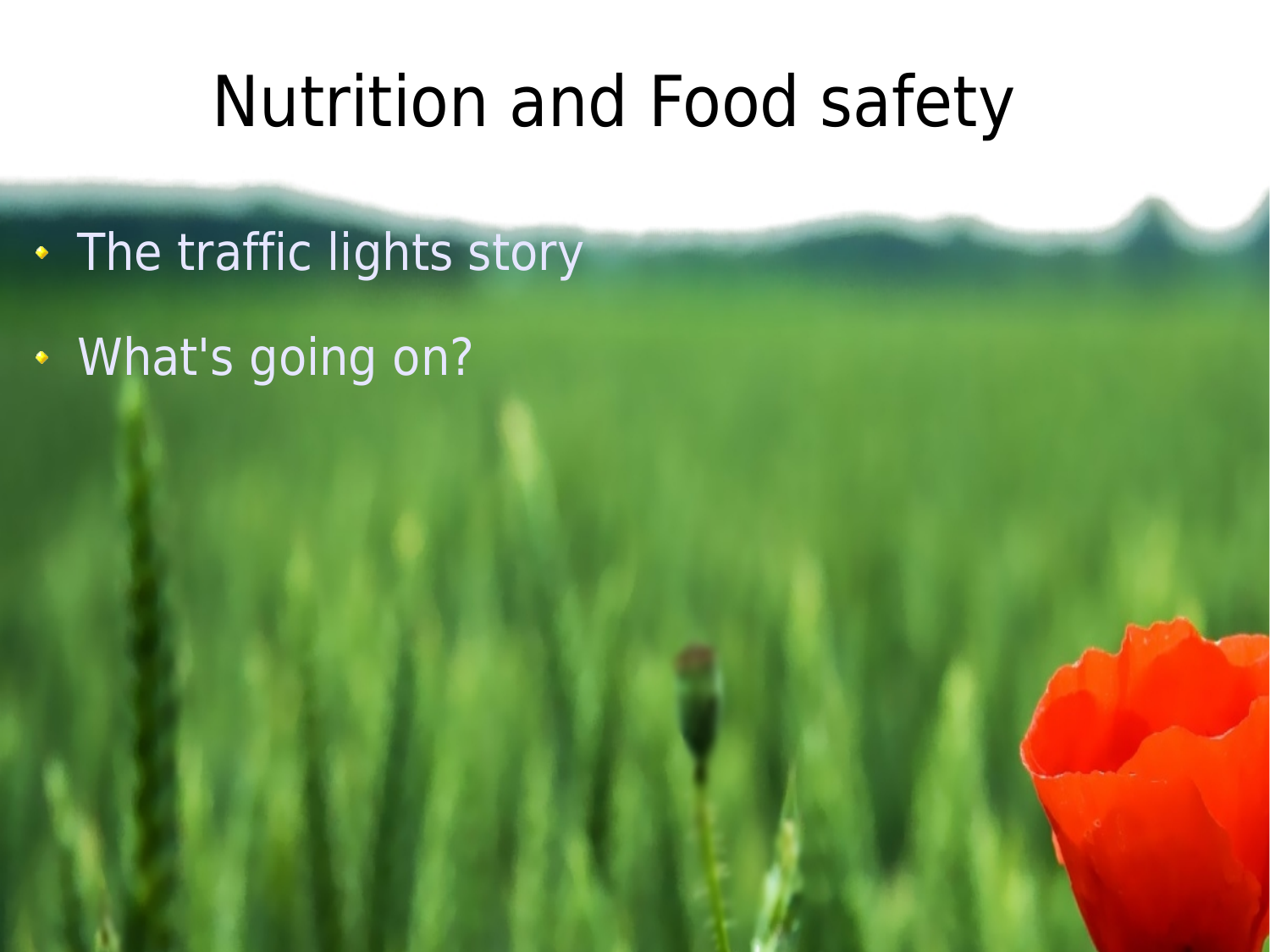#### Nutrition and Food safety

- The traffic lights story
- What's going on?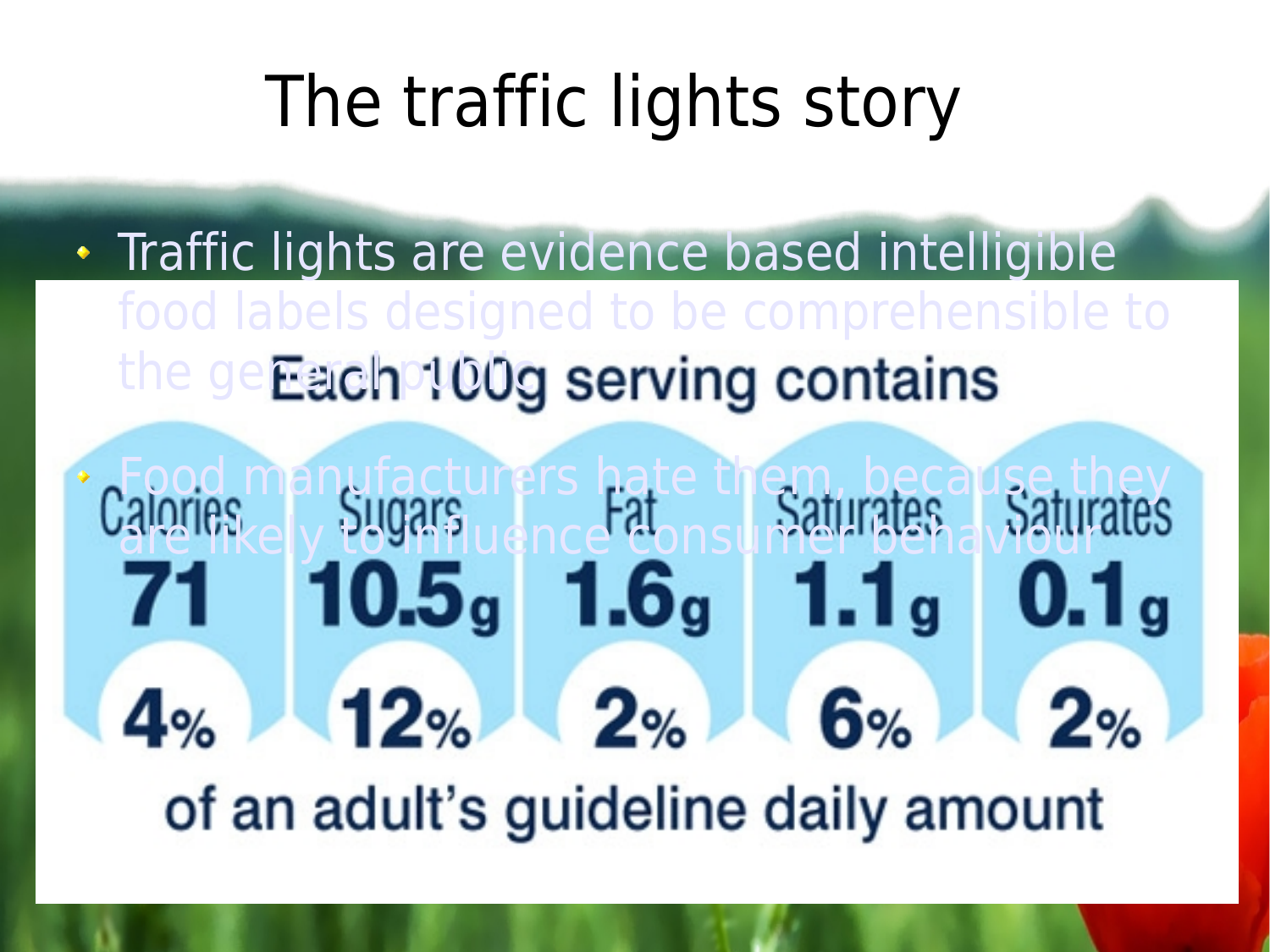# The traffic lights story

**• Traffic lights are evidence based intelligible** food labels designed to be comprehensible to the geEach 100g serving contains

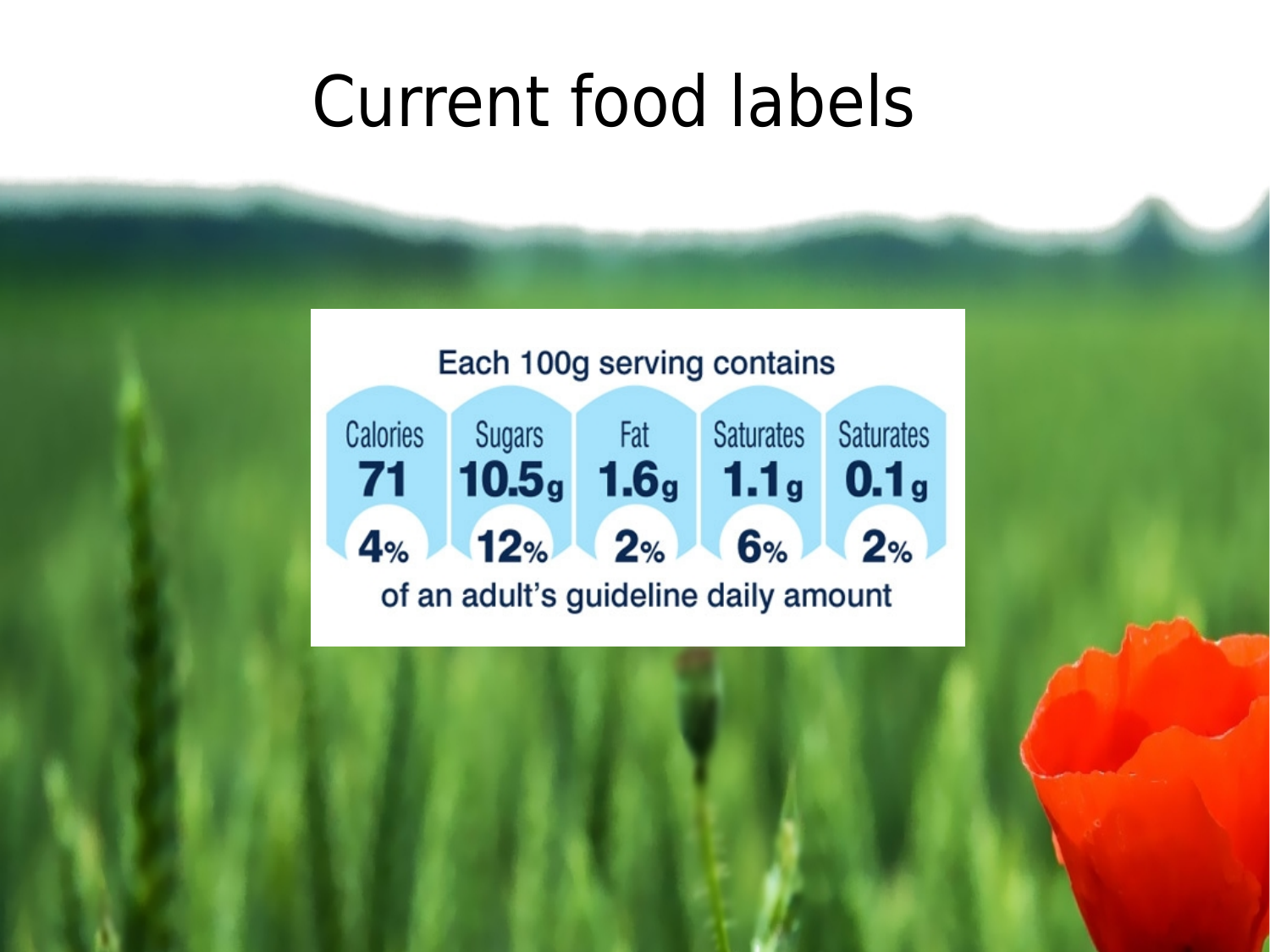#### Current food labels

Each 100g serving contains

Calories Sugars Fat Saturates **Saturates**  $71$   $10.5_g$   $1.6_g$   $1.1_g$   $0.1_g$  $4%$  12% 2% 6% 2% of an adult's guideline daily amount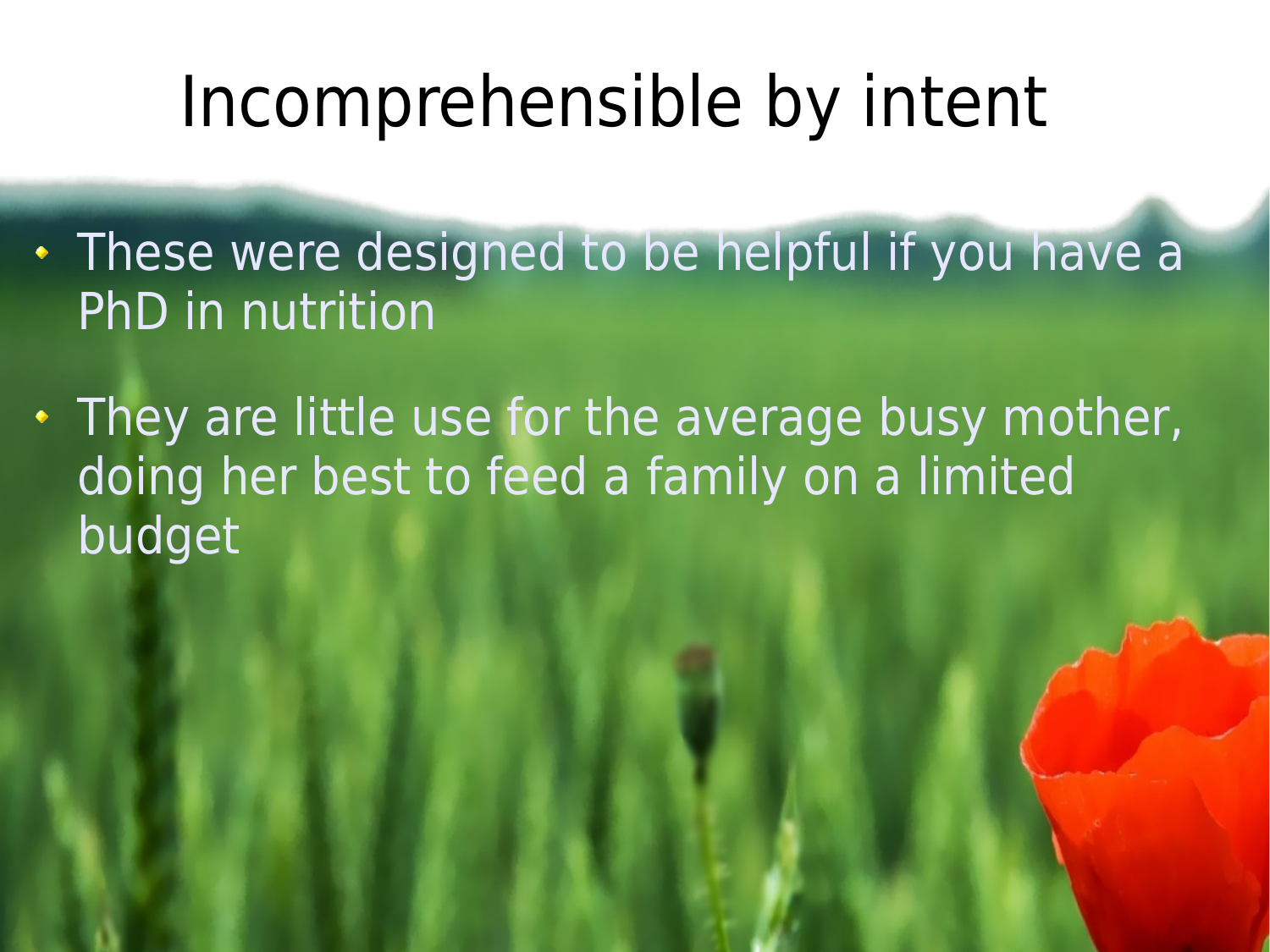## Incomprehensible by intent

- These were designed to be helpful if you have a PhD in nutrition
- They are little use for the average busy mother, doing her best to feed a family on a limited budget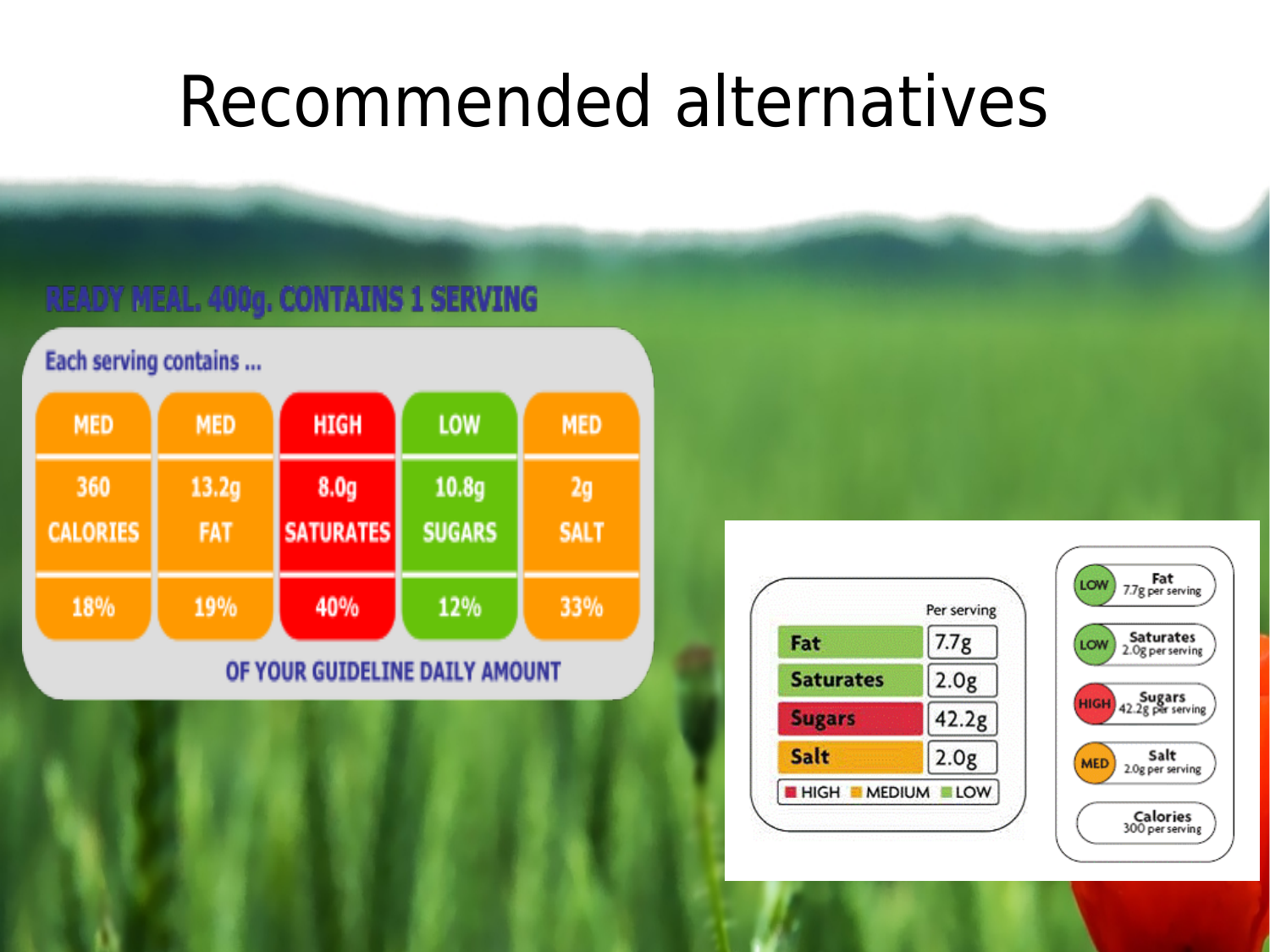## Recommended alternatives

#### **READY MEAL. 400g. CONTAINS 1 SERVING**

#### Each serving contains ...

| <b>MED</b>             | <b>MED</b>          | <b>HIGH</b>                          | <b>LOW</b>                         | <b>MED</b>        |
|------------------------|---------------------|--------------------------------------|------------------------------------|-------------------|
| 360<br><b>CALORIES</b> | 13.2g<br><b>FAT</b> | 8.0 <sub>g</sub><br><b>SATURATES</b> | 10.8 <sub>g</sub><br><b>SUGARS</b> | 2q<br><b>SALT</b> |
| 18%                    | 19%                 | 40%                                  | 12%                                | 33%               |

#### OF YOUR GUIDELINE DAILY AMOUNT



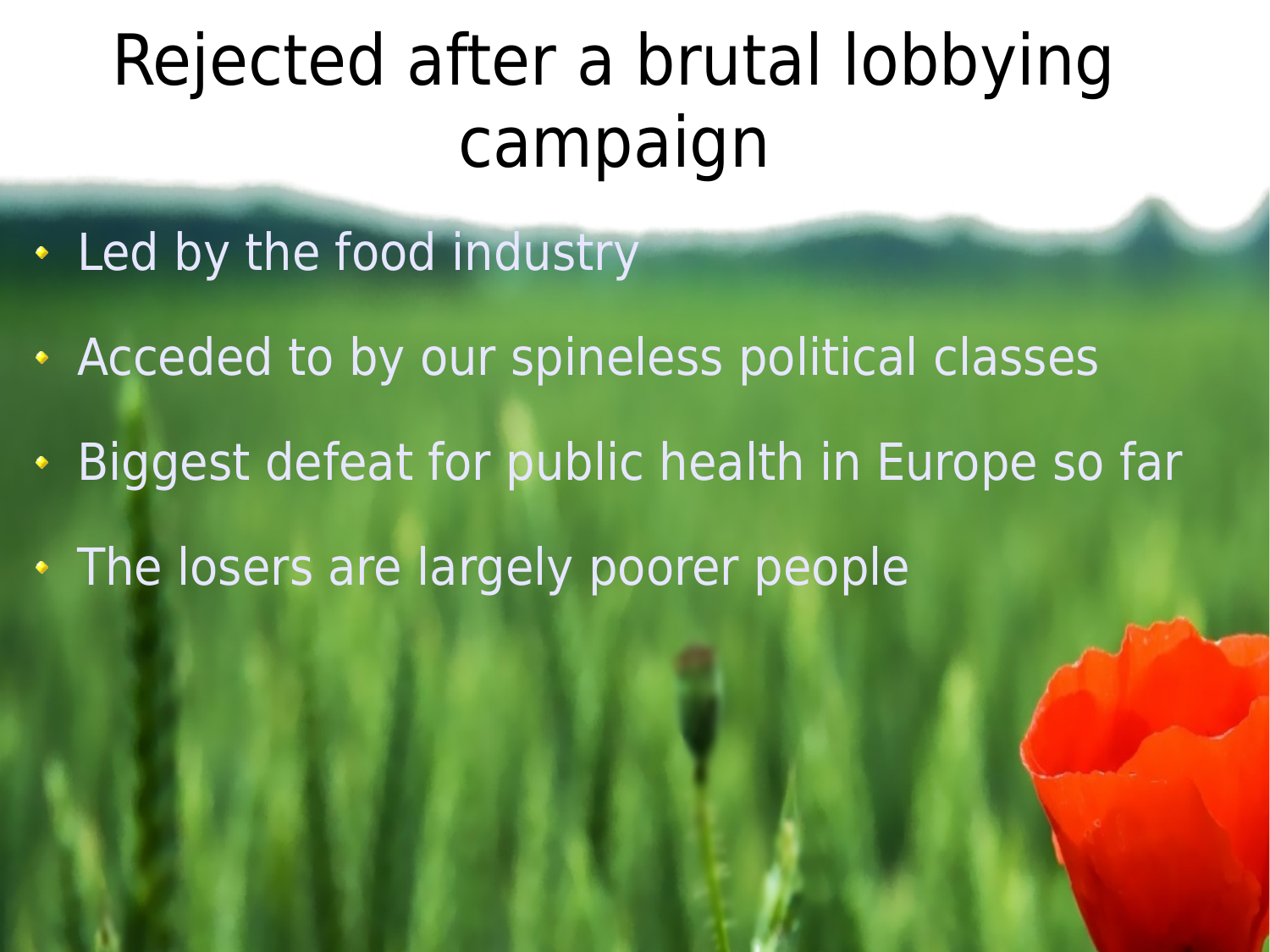# Rejected after a brutal lobbying campaign

- Led by the food industry
- Acceded to by our spineless political classes
- Biggest defeat for public health in Europe so far
- The losers are largely poorer people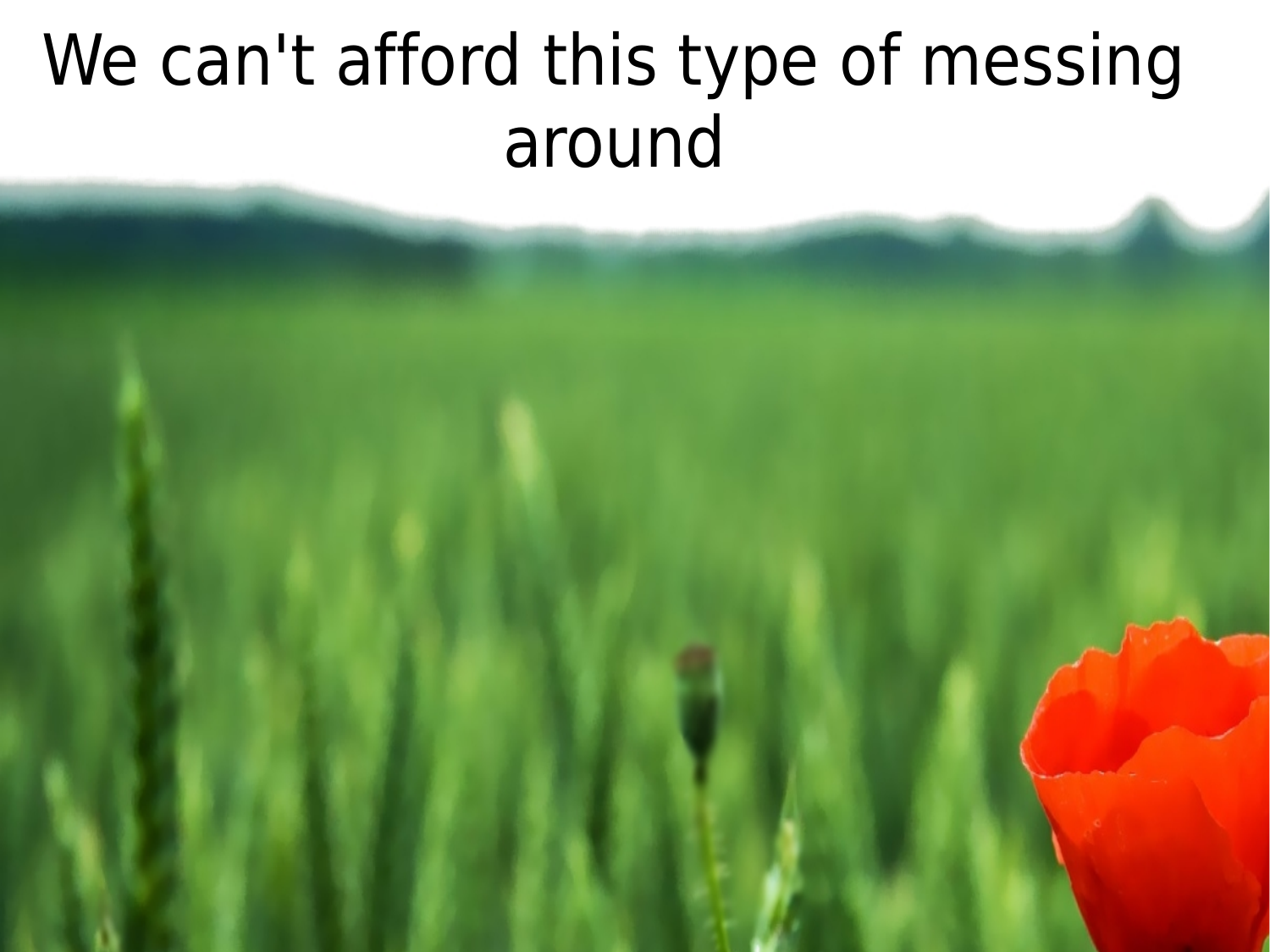# We can't afford this type of messing around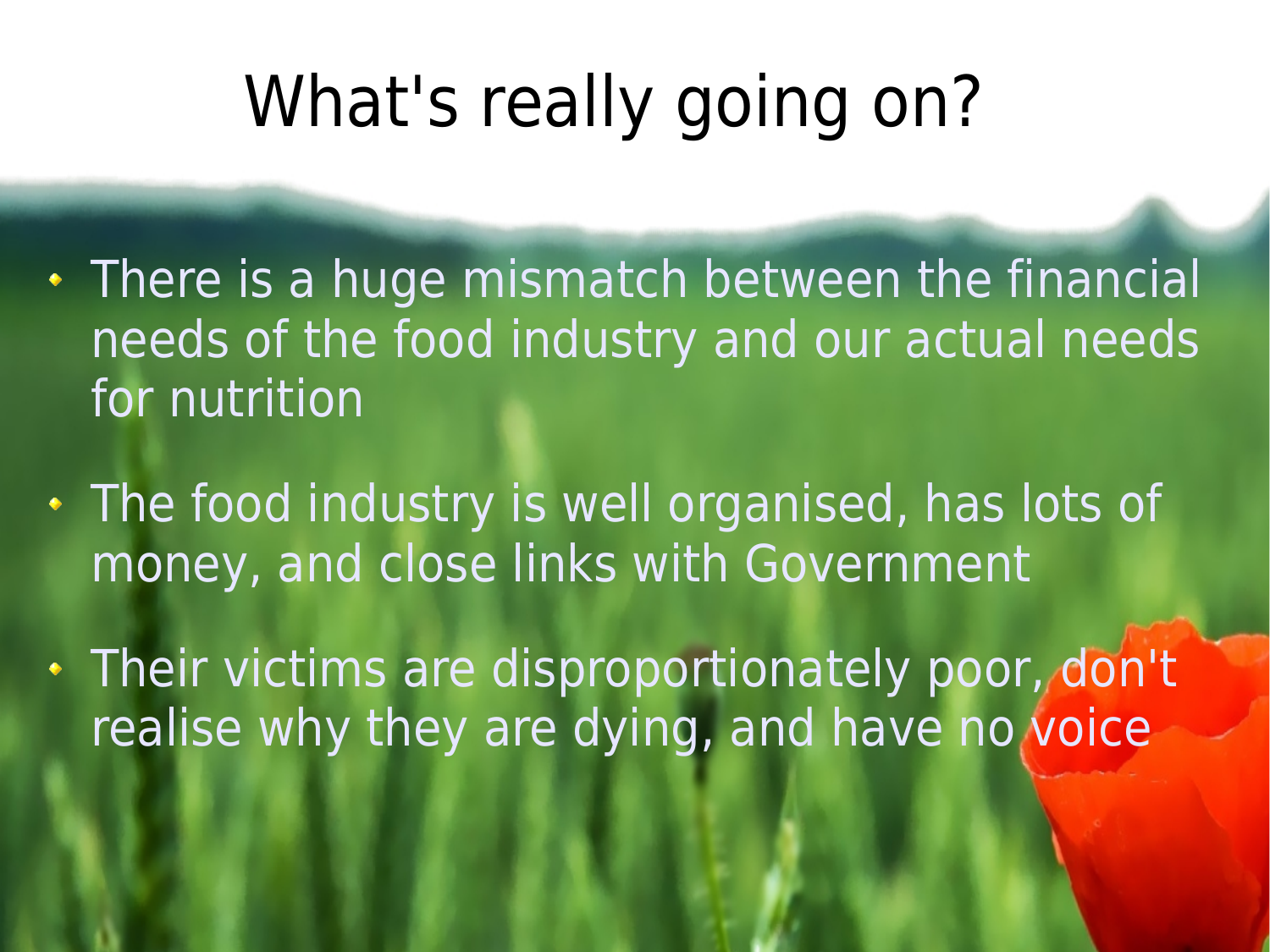# What's really going on?

- There is a huge mismatch between the financial needs of the food industry and our actual needs for nutrition
- The food industry is well organised, has lots of money, and close links with Government

Their victims are disproportionately poor, don't realise why they are dying, and have no voice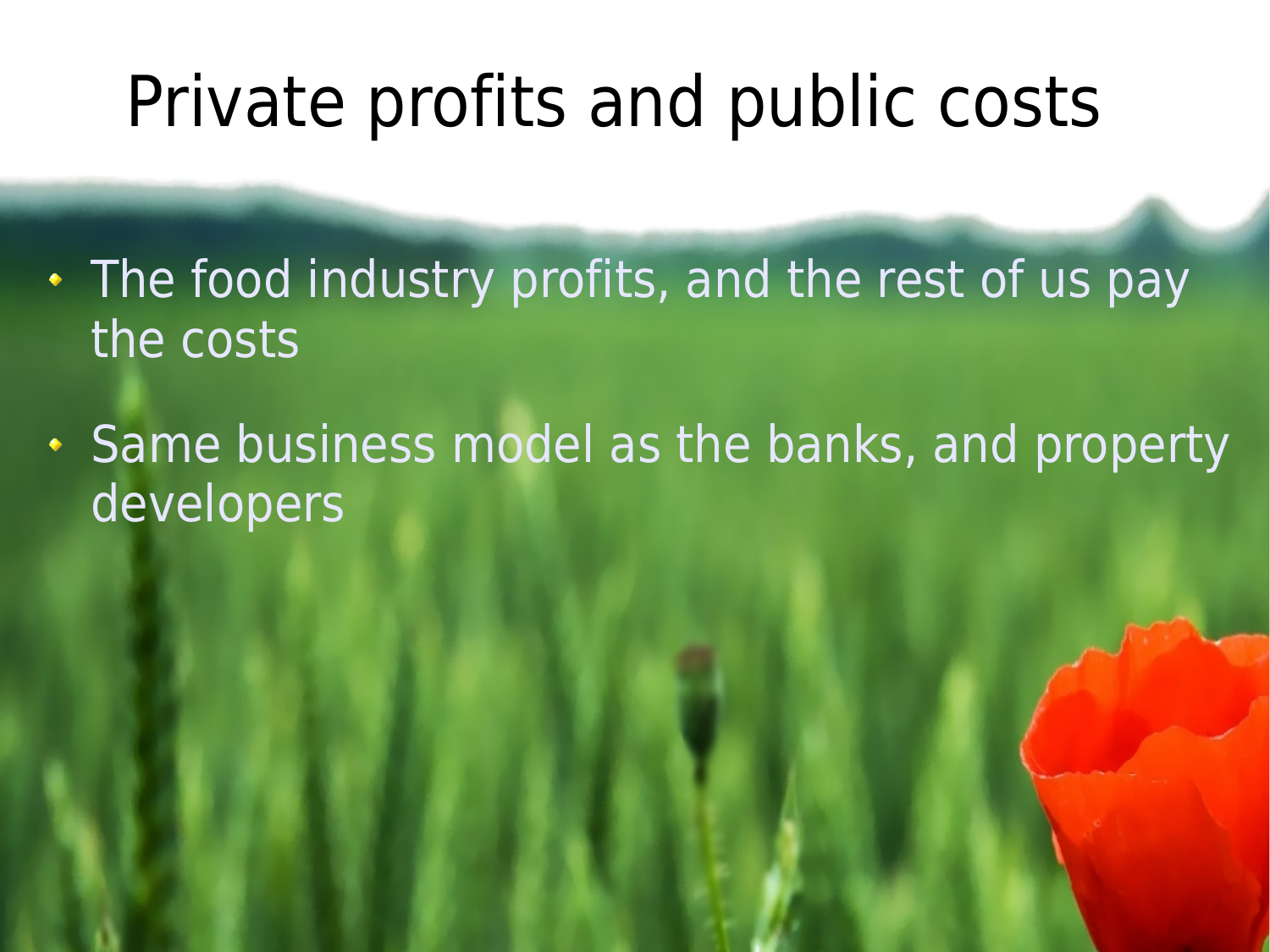## Private profits and public costs

- The food industry profits, and the rest of us pay the costs
- **Same business model as the banks, and property** developers